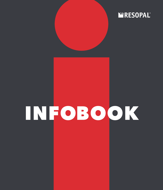# **WRESOPAL®**

# INFOBOOK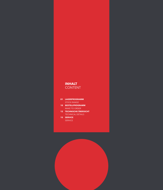## **INHALT** CONTENT

#### **01 LAGERPROGRAMM**  STOCK RANGE

- **10 BESTELLPROGRAMM**  MAKE TO ORDER
- **12 TECHNISCHE ÜBERSICHT**  TECHNICAL DETAILS
- **15 SERVICE**  SERVICE

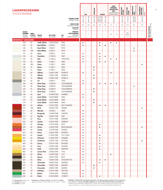| <b>LAGERPROGRAMM</b><br><b>STOCK RANGE</b> |                               |                        |                      |                            |                    |                                       |                        | HPL          | <b>TRACELESS</b>       |                                    | <b>DOORS</b>   | <b>KOLLEKTION</b> | FARB-<br><b>VERBUND-</b><br><b>MFC</b><br>COORDINATED<br><b>SURFACES MFC</b> | <b>SPASTYLING</b><br>BOARDS | SPASTYLING<br>FLOOR | ARBEITSPLATTE<br>Ideal<br>Worktops Ideal | <b>NISCHENRÜCK-</b><br>WAND IDEAL<br>SPLASH BACK<br>IDEAL |                                                |  |
|--------------------------------------------|-------------------------------|------------------------|----------------------|----------------------------|--------------------|---------------------------------------|------------------------|--------------|------------------------|------------------------------------|----------------|-------------------|------------------------------------------------------------------------------|-----------------------------|---------------------|------------------------------------------|-----------------------------------------------------------|------------------------------------------------|--|
|                                            |                               |                        |                      |                            |                    | <b>FORMAT IN MM</b><br>FORMAT IN MM   | 3050 x 1320            | 2440 x 1220  | 3050 x 1320            | 2180x915<br>2180x1020<br>2180x1320 | 2600 x 1380    |                   | 2800 x 2070                                                                  | 3050 x 1320                 | $1245 \times 200$   | 3650×600<br>3650×900                     | 3650×650                                                  |                                                |  |
|                                            |                               |                        |                      |                            |                    | <b>DICKE IN MM</b><br>THICKNESS IN MM | 0,8                    | 0,8          | 0,8                    | 0,8                                | 0,8            | 19                | $\,$ 8 $\,$                                                                  | 7,8                         | 5,4                 | 38                                       | 7,8                                                       |                                                |  |
|                                            |                               |                        |                      |                            |                    | QUALITÄT                              | P                      | P            |                        | $\mathsf S$                        | $\mathsf S$    | $\mathsf S$       | $\mathsf S$                                                                  | $\sf S$                     | S                   | D                                        |                                                           |                                                |  |
|                                            | <b>DEKOR-</b>                 |                        |                      |                            |                    | QUALITY<br><b>MINDEST-</b>            |                        |              |                        |                                    |                |                   |                                                                              |                             | $20*$               |                                          |                                                           | <b>MIT SCHUTZFOLIE</b><br>WITH PROTECTIVE FOIL |  |
|                                            | <b>NUMMER</b><br><b>DECOR</b> | OBER-<br><b>FLÄCHE</b> | <b>DEKOR</b>         | <b>NCS CODE</b>            | <b>RAL</b>         | <b>BESTELLMENGE</b><br>MINIMUM        | 1                      | $\mathbf{1}$ | $\mathbf{1}$           | 1                                  | $\overline{1}$ | 20                | 14                                                                           | $\overline{c}$              | PAKETE<br>PACKS     | 1                                        | $\mathbf{1}$                                              |                                                |  |
| <b>RESOPAL<sup>®</sup> COLOURS</b>         | <b>NUMBER</b>                 | <b>TEXTURE</b>         | <b>DECOR</b>         | <b>NCS CODE</b>            | <b>RAL</b>         | ORDER QUANTITY                        |                        |              |                        |                                    |                |                   |                                                                              |                             |                     |                                          |                                                           |                                                |  |
|                                            | 104                           | 60                     | <b>Traffic White</b> | S 0502 R50B                | 9003               |                                       | $\bullet$              |              |                        | ٠                                  |                |                   |                                                                              |                             |                     |                                          |                                                           |                                                |  |
|                                            | 105                           | 60                     | <b>Pearl White</b>   | S 0502 Y                   | 9010               |                                       | $\bullet$              |              |                        | $\bullet$                          | $\bullet$      |                   |                                                                              |                             |                     |                                          |                                                           |                                                |  |
|                                            | 105                           | 90                     | <b>Pearl White</b>   | S 0502 Y                   | 9010               |                                       |                        |              |                        |                                    |                |                   |                                                                              |                             |                     | ٠                                        |                                                           |                                                |  |
|                                            | 105                           | <b>HW</b>              | <b>Pearl White</b>   | S 0502 Y                   | 9010               |                                       |                        |              |                        |                                    |                |                   |                                                                              |                             |                     | $\bullet$                                |                                                           |                                                |  |
|                                            | 112                           | 60                     | Ivory                | S 0502 Y                   | 1013               |                                       | ٠                      |              |                        | ٠                                  |                |                   |                                                                              |                             |                     |                                          |                                                           |                                                |  |
|                                            | 120                           | 60                     | Transition           | S 1500 N                   | 7047               |                                       | $\bullet$              |              |                        | $\bullet$                          | $\bullet$      |                   |                                                                              |                             |                     |                                          |                                                           |                                                |  |
|                                            | 135                           | 60                     | Rain                 | S 1002 G                   | 7035/9018          |                                       | $\bullet$              |              |                        | ٠                                  |                | $\bullet$         | $\bullet$                                                                    |                             |                     |                                          |                                                           |                                                |  |
|                                            | 140                           | 60                     | Dawn                 | S 1002 Y                   | 9002               |                                       | $\bullet$              |              |                        | $\bullet$                          | $\bullet$      |                   |                                                                              |                             |                     |                                          |                                                           |                                                |  |
|                                            | 140                           | WG                     | Dawn                 | S 1002 Y                   | 9002               |                                       |                        |              |                        |                                    |                |                   |                                                                              |                             |                     |                                          | $\bullet$                                                 |                                                |  |
|                                            | 140                           | TS                     | Dawn                 | S 1002 Y                   | 9002               |                                       |                        |              | $\bullet$ <sup>1</sup> |                                    |                |                   |                                                                              |                             |                     |                                          |                                                           |                                                |  |
|                                            | 140<br>147                    | TL<br>60               | Dawn<br>Affinity     | S 1002 Y<br>S 2005 Y30R    | 9002<br>0958010    |                                       |                        |              | $\bullet$ <sup>1</sup> |                                    |                |                   |                                                                              |                             |                     |                                          |                                                           |                                                |  |
|                                            | 147                           | TS                     | Affinity             | S 2005 Y30R                | 0958010            |                                       | $\bullet$              |              | $\bullet$ <sup>1</sup> |                                    |                | $\bullet$         |                                                                              |                             |                     |                                          |                                                           |                                                |  |
|                                            | 147                           | TL                     | Affinity             | S 2005 Y30R                | 0958010            |                                       |                        |              | $\bullet$ <sup>1</sup> |                                    |                |                   |                                                                              |                             |                     |                                          |                                                           |                                                |  |
|                                            | 150                           | 60                     | Tin                  | S 4502 Y                   | 7030               |                                       | ٠                      |              |                        |                                    |                |                   |                                                                              |                             |                     |                                          |                                                           |                                                |  |
|                                            | 160                           | 60                     | <b>Silver Grey</b>   | S 2000 N                   |                    | 7035/0008500                          | $\bullet$              |              |                        | $\bullet$                          | $\bullet$      | $\bullet$         | $\bullet$                                                                    |                             |                     |                                          |                                                           |                                                |  |
|                                            | 160                           | 90                     | <b>Silver Grey</b>   | S 2000 N                   |                    | 7035/0008500                          |                        |              |                        |                                    |                |                   |                                                                              |                             |                     | $\bullet$                                |                                                           |                                                |  |
|                                            | 160                           | TS                     | <b>Silver Grey</b>   | S 2000 N                   |                    | 7035/0008500                          |                        |              | $\bullet$ <sup>1</sup> |                                    |                |                   |                                                                              |                             |                     |                                          |                                                           |                                                |  |
|                                            | 160                           | TL                     | <b>Silver Grey</b>   | S 2000 N                   |                    | 7035/0008500                          |                        |              | $\bullet^1$            |                                    |                |                   |                                                                              |                             |                     |                                          |                                                           |                                                |  |
|                                            | 168                           | 60                     | Azul                 | S 2005 R70B                | 2608005            |                                       | $\bullet$              |              |                        |                                    |                |                   |                                                                              |                             |                     |                                          |                                                           |                                                |  |
|                                            | 179                           | 60                     | <b>Arctic White</b>  | S 0603 R80B                | 9003               |                                       | ٠                      |              |                        |                                    |                |                   |                                                                              |                             |                     |                                          |                                                           |                                                |  |
|                                            | 179                           | <b>TS</b>              | <b>Arctic White</b>  | S 0603 R80B                | 9003               |                                       |                        |              | $\bullet$ <sup>1</sup> |                                    |                |                   |                                                                              |                             |                     |                                          |                                                           |                                                |  |
|                                            | 179                           | TL                     | <b>Arctic White</b>  | S 0603 R80B                | 9003               |                                       |                        |              | $\bullet$ <sup>1</sup> |                                    |                |                   |                                                                              |                             |                     |                                          |                                                           |                                                |  |
|                                            | 300                           | 60                     | Infinity             | S 2070 Y90R                |                    | 3031/0304050                          | $\bullet$              |              |                        | $\bullet$                          | $\bullet$      |                   |                                                                              |                             |                     |                                          |                                                           |                                                |  |
|                                            | 310                           | HW                     | <b>Brick</b>         | S 4550 Y70R                | 504040             |                                       |                        |              |                        |                                    |                |                   |                                                                              |                             |                     |                                          |                                                           |                                                |  |
|                                            | 311<br>312                    | 60<br>60               | Marsala              | S 5040 R<br>S 6030 R10B    | 3009<br>3602020    |                                       | $\bullet$<br>$\bullet$ |              |                        |                                    |                |                   |                                                                              |                             |                     |                                          |                                                           |                                                |  |
|                                            | 314                           | 60                     | Burgundy<br>Paprika  | S 2060 Y70R                | 2001               |                                       | $\bullet$              |              |                        |                                    |                |                   |                                                                              |                             |                     |                                          |                                                           |                                                |  |
|                                            | 318                           | 60                     | Rosy                 | S 0515 Y90R                | 0309005            |                                       | ٠                      |              |                        |                                    |                |                   |                                                                              |                             |                     |                                          |                                                           |                                                |  |
|                                            | 325                           | 60                     | Lychee               | S 0520 Y90R                | 0308020            |                                       | $\bullet$              |              |                        |                                    |                |                   |                                                                              |                             |                     |                                          |                                                           |                                                |  |
|                                            | 335                           | 60                     | Orange               | S 1070 Y50R                | 2012               |                                       | $\bullet$              |              |                        | ٠                                  |                |                   |                                                                              |                             |                     |                                          |                                                           |                                                |  |
|                                            | 340                           | 60                     | <b>Zinnia</b>        | S 3050 Y50R                |                    | 8023/0505050                          |                        |              |                        |                                    |                |                   |                                                                              |                             |                     |                                          |                                                           |                                                |  |
|                                            | 355                           | 60                     | Candy                | S 1070 R10B                | 0105050            |                                       | $\bullet$              |              |                        |                                    |                |                   |                                                                              |                             |                     |                                          |                                                           |                                                |  |
|                                            | 413                           | 60                     | Citrus               | S 0520 G90Y                | 0959030            |                                       | $\bullet$              |              |                        |                                    |                |                   |                                                                              |                             |                     |                                          |                                                           |                                                |  |
|                                            | 424                           | 60                     | Ceylon               | S 1050 Y30R                | 1017/1034          |                                       | $\bullet$              |              |                        | $\bullet$                          |                |                   |                                                                              |                             |                     |                                          |                                                           |                                                |  |
|                                            | 425                           | 60                     | Primrose             | S 1060 G90Y                | 0958080            |                                       | $\bullet$              |              |                        | $\bullet$                          |                |                   |                                                                              |                             |                     |                                          |                                                           |                                                |  |
|                                            | 426                           | 60                     | Sunflower            | S 2070 Y10R                | 0757060            |                                       | $\bullet$              |              |                        | $\bullet$                          |                |                   |                                                                              |                             |                     |                                          | $\bullet$                                                 |                                                |  |
|                                            | 439                           | 60                     | Sunny                | S 0510 Y10R                | 0959020            |                                       | $\bullet$              |              |                        | $\bullet$                          |                |                   |                                                                              |                             |                     |                                          |                                                           |                                                |  |
|                                            | 441<br>446                    | 60<br>60               | Corn<br>Gold         | S 0520 Y30R<br>S 0530 Y20R | 0709020<br>0859030 |                                       | $\bullet$<br>$\bullet$ |              |                        | $\bullet$<br>$\bullet$             |                |                   |                                                                              |                             |                     |                                          |                                                           |                                                |  |
|                                            | 455                           | 60                     | Lemon Peel           | S 0560 G90Y                | 1016               |                                       | ٠                      |              |                        |                                    |                |                   |                                                                              |                             |                     |                                          |                                                           |                                                |  |
|                                            | 465                           | 60                     | Ochre                | S 4030 Y20R                | 1011               |                                       | $\bullet$              |              |                        |                                    |                | $\bullet$         |                                                                              |                             |                     |                                          |                                                           |                                                |  |
|                                            | 520                           | 60                     | Beaver               | S 8010 Y50R                | 8014               |                                       | $\bullet$              |              |                        |                                    |                |                   |                                                                              |                             |                     |                                          |                                                           |                                                |  |
|                                            | 531                           | 60                     | Silica               | S 3005 Y20R                |                    | 7032/0957010                          | $\bullet$              |              |                        | $\bullet$                          | $\bullet$      |                   |                                                                              |                             |                     |                                          |                                                           |                                                |  |
|                                            | 547                           | 60                     | Chocolate            | S 8005 Y20R                | 0602005            |                                       | $\bullet$              |              |                        | $\bullet$                          |                |                   |                                                                              |                             |                     |                                          |                                                           |                                                |  |
|                                            | 547                           | <b>TS</b>              | Chocolate            | S 8005 Y20R                | 0602005            |                                       |                        |              | $\bullet$ <sup>1</sup> |                                    |                |                   |                                                                              |                             |                     |                                          |                                                           |                                                |  |
|                                            | 547                           | TL.                    | Chocolate            | S 8005 Y20R                | 0602005            |                                       |                        |              | $\bullet$ <sup>1</sup> |                                    |                |                   |                                                                              |                             |                     |                                          |                                                           |                                                |  |
|                                            | 565                           | 60                     | Antilope             | S 3010 Y30R                | 0607020            |                                       | $\bullet$              |              |                        |                                    |                |                   |                                                                              |                             |                     |                                          |                                                           |                                                |  |
|                                            | 600                           | 60                     | <b>Button</b>        | S 2060 G20Y                | 1406050            |                                       | ٠                      |              |                        |                                    |                |                   |                                                                              |                             |                     |                                          |                                                           |                                                |  |
|                                            | 602                           | 60                     | Petrol               | S 2010 B50G                | 2108010            |                                       | $\bullet$              |              |                        | $\bullet$                          |                |                   |                                                                              |                             |                     |                                          |                                                           |                                                |  |

P = Postforming Postforming S = Standard Standard D = D-Profil D-profile

\* Aufteilbar in 2 Dekore à 80 Stk.≙2 x 20 m²≙1 Palette<br>\* May be split into 2 decors @ 80 pcs.≙2 x 20m²≙1 pallet

1) RESOPAL® TRACELESS ist bedingt postformbar. Der kleinste Radius entspricht 10-mal der Dicke<br>(2.B. 0,8 mm = ≥ 8 mm). Deshalb empfehlen wir, vorab Postformbarkeits-Tests durchzuführen.<br>1) Postforming for RESOPAL® TRACELE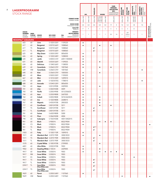| <b>LAGERPROGRAMM</b><br><b>STOCK RANGE</b>     |                        |                                        |                      |              |                                                              |              | <b>HPL</b>  | <b>TRACELESS</b>           |                                                                                         | <b>DOORS</b>   |             | FARB-<br><b>VERBUND-</b><br><b>KOLLEKTION</b><br><b>MFC</b><br>COORDINATED<br><b>SURFACES MFC</b> | <b>SPASTYLING<br/>BOARDS</b> | <b>SPASTYLING</b><br>FLOOR | ARBEITSPLATTE<br>IDEAL<br>Worktops Ideal | <b>NISCHENRÜCK-</b><br>WAND IDEAL<br>SPLASH BACK<br>IDEAL |                                                |
|------------------------------------------------|------------------------|----------------------------------------|----------------------|--------------|--------------------------------------------------------------|--------------|-------------|----------------------------|-----------------------------------------------------------------------------------------|----------------|-------------|---------------------------------------------------------------------------------------------------|------------------------------|----------------------------|------------------------------------------|-----------------------------------------------------------|------------------------------------------------|
|                                                |                        |                                        |                      |              | <b>FORMAT IN MM</b><br><b>FORMAT IN MM</b>                   | 3050 x 1320  | 2440 x 1220 | 3050 x 1320                | $\begin{array}{ l} 2180 \times 915 \\ 2180 \times 1020 \\ 2180 \times 1320 \end{array}$ | 2600 x 1380    |             | 2800 x 2070                                                                                       | 3050 x 1320                  | 1245×200                   | $3650 \times 600$<br>$3650 \times 900$   | 3650×650                                                  |                                                |
|                                                |                        |                                        |                      |              | <b>DICKE IN MM</b><br>THICKNESS IN MM                        | 0,8          | 0,8         | 0,8                        | 0,8                                                                                     | 0,8            | 19          | 8                                                                                                 | 7,8                          | 5,4                        | 38                                       | 7,8                                                       |                                                |
|                                                |                        |                                        |                      |              | <b>QUALITÄT</b>                                              | P            | P           |                            | $\mathsf S$                                                                             | S              | $\mathsf S$ | $\mathsf S$                                                                                       | $\mathsf S$                  | $\mathsf S$                | D                                        |                                                           |                                                |
| <b>DEKOR-</b><br><b>NUMMER</b><br><b>DECOR</b> | OBER-<br><b>FLÄCHE</b> | <b>DEKOR</b>                           | <b>NCS CODE</b>      | <b>RAL</b>   | QUALITY<br><b>MINDEST-</b><br><b>BESTELLMENGE</b><br>MINIMUM | $\mathbf{1}$ | 1           | 1                          | 1                                                                                       | $\overline{1}$ | 20          | 14                                                                                                | $\sqrt{2}$                   | $20*$<br>PAKETE<br>PACKS   | 1                                        | 1                                                         | <b>MIT SCHUTZFOLIE</b><br>WITH PROTECTIVE FOIL |
| NUMBER<br><b>RESOPAL<sup>®</sup> COLOURS</b>   | TEXTURE DECOR          |                                        | <b>NCS CODE</b>      | RAL          | ORDER QUANTITY                                               |              |             |                            |                                                                                         |                |             |                                                                                                   |                              |                            |                                          |                                                           |                                                |
| 603                                            | 60                     | Lime                                   | S 1020 G50Y          | 1109220      |                                                              | ٠            |             |                            |                                                                                         |                |             |                                                                                                   |                              |                            |                                          |                                                           |                                                |
| 617                                            | 60                     | Bergamot                               | S 0570 G60Y          | 1008060      |                                                              | $\bullet$    |             |                            | ٠                                                                                       |                | ٠           |                                                                                                   |                              |                            |                                          |                                                           |                                                |
| 617                                            | TS                     | Bergamot                               | S 0570 G60Y          | 1008060      |                                                              |              |             | $\bullet$ <sup>1</sup>     |                                                                                         |                |             |                                                                                                   |                              |                            |                                          |                                                           |                                                |
| 617                                            | TL                     | Bergamot                               | S 0570 G60Y          | 1008060      |                                                              |              |             | $\bullet$ <sup>1</sup>     |                                                                                         |                |             |                                                                                                   |                              |                            |                                          |                                                           |                                                |
| 625                                            | 60                     | <b>May Green</b>                       | S 3030 G90Y          | 0856050      |                                                              | ٠            |             |                            |                                                                                         |                |             |                                                                                                   |                              |                            |                                          |                                                           |                                                |
| 626                                            | 60                     | Spring                                 | S 1030 G40Y          | 1208030      |                                                              | $\bullet$    |             |                            |                                                                                         |                |             |                                                                                                   |                              |                            |                                          |                                                           |                                                |
| 630                                            | 60                     | Jardin                                 | S 4050 G10Y          |              | 6001/1404040                                                 | ٠            |             |                            |                                                                                         |                |             |                                                                                                   |                              |                            |                                          |                                                           |                                                |
| 631                                            | 60                     | Absinth                                | S 0530 G60Y          | 1109035      |                                                              | $\bullet$    |             |                            | ٠                                                                                       |                |             |                                                                                                   |                              |                            |                                          |                                                           |                                                |
| 634                                            | 60                     | <b>Delicious</b>                       | S 1040 G60Y          | 1108050      |                                                              | $\bullet$    |             |                            |                                                                                         |                |             |                                                                                                   |                              |                            |                                          |                                                           |                                                |
| 639                                            | 60                     | Carambola                              | S 2060 G70Y          | 1007060      |                                                              | $\bullet$    |             |                            | ٠                                                                                       |                | ٠           |                                                                                                   |                              |                            |                                          |                                                           |                                                |
| 639                                            | HW                     | Carambola                              | S 2060 G70Y          | 1007060      |                                                              |              |             |                            |                                                                                         |                |             |                                                                                                   |                              |                            |                                          | $\bullet$                                                 |                                                |
| 640                                            | 60                     | Kiwi                                   | S 3560 G70Y          | 1005050      |                                                              | $\bullet$    |             |                            | $\bullet$                                                                               |                |             |                                                                                                   |                              |                            |                                          |                                                           |                                                |
| 665                                            | 60                     | Moss                                   | S 5020 G50Y          | 1105020      |                                                              | ٠            |             |                            |                                                                                         |                |             |                                                                                                   |                              |                            |                                          |                                                           |                                                |
| 667                                            | 60                     | Mint                                   | S 1010 G50Y          | 1209010      |                                                              | $\bullet$    |             |                            |                                                                                         |                |             |                                                                                                   |                              |                            |                                          |                                                           |                                                |
| 670                                            | 60                     | Jade                                   | S 1020 B70G          | 1708010      |                                                              | ٠            |             |                            |                                                                                         |                |             |                                                                                                   |                              |                            |                                          | ٠                                                         |                                                |
| 688                                            | 60                     | Avocado                                | S 5540 G30Y          | 0856050      |                                                              | $\bullet$    |             |                            |                                                                                         |                |             |                                                                                                   |                              |                            |                                          |                                                           |                                                |
| 724                                            | 60                     | Aqua                                   | S 0510 R90B          | 2409005      |                                                              | $\bullet$    |             |                            | $\bullet$                                                                               |                |             |                                                                                                   |                              |                            |                                          |                                                           |                                                |
| 741                                            | 60                     | Lilac                                  | S 3020 R30B          | 4009         |                                                              | $\bullet$    |             |                            |                                                                                         |                |             |                                                                                                   |                              |                            |                                          |                                                           |                                                |
| 743                                            | 60                     | Pacific                                | S 2050 R90B          |              | 5012/2506035                                                 | ٠            |             |                            |                                                                                         |                |             |                                                                                                   |                              |                            |                                          |                                                           |                                                |
| 744                                            | 60                     | Azur                                   | S 2030 R80B          | 2607020      |                                                              | $\bullet$    |             |                            |                                                                                         |                |             |                                                                                                   |                              |                            |                                          |                                                           |                                                |
| 760                                            | 60                     | Cobalt                                 | S 4050 R80B          |              | 5010/2603035                                                 | ٠            |             |                            | ٠                                                                                       |                |             |                                                                                                   |                              |                            |                                          |                                                           |                                                |
| 763                                            | 60                     | Ara                                    | S 1020 R80B          | 2608015      |                                                              | $\bullet$    |             |                            | $\bullet$                                                                               |                |             |                                                                                                   |                              |                            |                                          |                                                           |                                                |
| 767                                            | 60                     | Majestic                               | S 4550 R70B          | 2803035      |                                                              | ٠            |             |                            | $\bullet$                                                                               |                |             |                                                                                                   |                              |                            |                                          |                                                           |                                                |
| 777                                            | 60                     | Cornflower                             | S 8010 R70B          | 5011         |                                                              | $\bullet$    |             |                            | $\bullet$                                                                               |                | $\bullet$   |                                                                                                   |                              |                            |                                          |                                                           |                                                |
| 777                                            | TS                     | Cornflower                             | S 8010 R70B          | 5011         |                                                              |              |             | $\bullet^1$                |                                                                                         |                |             |                                                                                                   |                              |                            |                                          |                                                           |                                                |
| 777                                            | TL                     | Cornflower                             | S 8010 R70B          | 5011         |                                                              |              |             | $\bullet$ <sup>1</sup>     |                                                                                         |                |             |                                                                                                   |                              |                            |                                          |                                                           |                                                |
| 781                                            | 60                     | Soiree                                 | S 6020 R80B          | 5000         |                                                              | $\bullet$    |             |                            |                                                                                         |                |             |                                                                                                   |                              |                            |                                          |                                                           |                                                |
| 792                                            | 60                     | Plum                                   | S 3060 R20B          | 4004         |                                                              | $\bullet$    |             |                            |                                                                                         |                |             |                                                                                                   |                              |                            |                                          |                                                           |                                                |
| 798                                            | 60                     | Aubergine                              | S 7020 R30B          |              | 4007/3402015                                                 | ٠            |             |                            |                                                                                         |                |             |                                                                                                   |                              |                            |                                          |                                                           |                                                |
| 901                                            | 60                     | <b>Black</b>                           | S 9000 N             | 8022/9004    |                                                              | $\bullet$    |             |                            | $\bullet$                                                                               | $\bullet$      | $\bullet$   |                                                                                                   |                              |                            |                                          |                                                           |                                                |
| 901                                            | <b>CS</b>              | <b>Black</b>                           | S 9000 N             | 8022/9004    |                                                              | $\bullet$    |             |                            |                                                                                         |                |             |                                                                                                   |                              |                            |                                          |                                                           | $\bullet$                                      |
| 901                                            | <b>TS</b>              | <b>Black</b>                           | S 9000 N             | 8022/9004    |                                                              |              |             | $\bullet$ <sup>2,3</sup>   |                                                                                         |                |             |                                                                                                   |                              |                            |                                          |                                                           |                                                |
| 901                                            | TL                     | <b>Black</b>                           | S 9000 N             | 8022/9004    |                                                              |              |             | $\bullet^1$                |                                                                                         |                |             |                                                                                                   |                              |                            |                                          |                                                           |                                                |
| 1503                                           | 60                     | Putty                                  | S 1505 Y10R          | 1009010      |                                                              | $\bullet$    |             |                            |                                                                                         |                |             |                                                                                                   |                              |                            |                                          |                                                           |                                                |
| 1511                                           | 60                     | Mandarin Red S 2070 Y90R               |                      | 3000/3033    |                                                              | $\bullet$    |             |                            | $\bullet$                                                                               |                |             |                                                                                                   |                              |                            |                                          |                                                           |                                                |
| 1511                                           | TS                     | Mandarin Red S 2070 Y90R               |                      | 3000/3033    |                                                              |              |             | $\bullet$ <sup>1</sup>     |                                                                                         |                |             |                                                                                                   |                              |                            |                                          |                                                           |                                                |
| 1511                                           | TL                     | Mandarin Red S 2070 Y90R               |                      | 3000/3033    |                                                              |              |             | $\bullet^1$                |                                                                                         |                |             |                                                                                                   |                              |                            |                                          |                                                           |                                                |
| 1570                                           | 60                     | Crystal White S 1005 R70B              |                      | 2709005      |                                                              |              |             |                            | $\bullet$                                                                               |                |             |                                                                                                   |                              |                            |                                          |                                                           |                                                |
| 6001                                           | 60                     | <b>Ultra White</b>                     | S 0505 R70B          | 9003         |                                                              | ٠            |             |                            |                                                                                         |                |             |                                                                                                   |                              |                            |                                          |                                                           |                                                |
| 9402                                           | 60                     | Dazzling White S 1002 B                |                      | 2609005      |                                                              | $\bullet$    |             |                            | ٠                                                                                       |                |             |                                                                                                   |                              |                            |                                          |                                                           |                                                |
| 9417                                           | 60                     | <b>Snow White</b>                      | S 0500 N<br>S 0500 N | 9003         |                                                              | ٠            |             |                            | ٠                                                                                       | $\bullet$      | ٠           | $\bullet$                                                                                         |                              |                            |                                          |                                                           |                                                |
| 9417<br>9417                                   | <b>RM</b>              | <b>Snow White</b>                      |                      | 9003         |                                                              |              |             |                            |                                                                                         |                |             |                                                                                                   | $\bullet$                    |                            |                                          |                                                           |                                                |
|                                                | ΚS                     | <b>Snow White</b>                      | S 0500 N             | 9003         |                                                              |              |             | $\bullet^1$                |                                                                                         |                |             |                                                                                                   |                              |                            | $\bullet$                                |                                                           |                                                |
| 9417<br>9417                                   | TS<br>TL               | <b>Snow White</b><br><b>Snow White</b> | S 0500 N<br>S 0500 N | 9003<br>9003 |                                                              |              |             | $\bullet^1$                |                                                                                         |                |             |                                                                                                   |                              |                            |                                          |                                                           |                                                |
| G9417                                          |                        | <b>Snow White</b>                      |                      |              |                                                              |              |             |                            |                                                                                         |                |             |                                                                                                   |                              |                            |                                          |                                                           |                                                |
| G9417                                          | TL<br>TS               | (Pure White core)<br><b>Snow White</b> | S 0500 N<br>S 0500 N | 9003<br>9003 |                                                              |              |             | $\bullet^2$<br>$\bullet^2$ |                                                                                         |                |             |                                                                                                   |                              |                            |                                          |                                                           |                                                |
|                                                |                        | (Pure White core)                      |                      |              |                                                              |              |             |                            |                                                                                         |                |             |                                                                                                   |                              |                            |                                          |                                                           |                                                |
| 9429                                           | 60                     | Parrot                                 | S 2050 G40Y          | 1107060      |                                                              | $\bullet$    |             |                            |                                                                                         |                |             |                                                                                                   |                              |                            |                                          |                                                           |                                                |
| 9429                                           | HW                     | Parrot                                 | S 2050 G40Y          | 1107060      |                                                              |              |             |                            |                                                                                         |                |             |                                                                                                   | $\bullet$                    |                            |                                          |                                                           |                                                |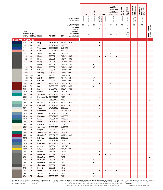|                                    |                                                          |                                   |                              |                                    |                          |                                                              |                | HPI.         | <b>TRACELESS</b>       | <b>DOORS</b>                       |              | FARB-<br><b>VERBUND-</b><br><b>KOLLEKTION</b><br><b>MFC</b><br>COORDINATED<br><b>SURFACES MFC</b> |             | <b>SPASTYLING</b><br>BOARDS | <b>SPASTYLING</b><br>FLOOR | ARBEITSPLATTE<br>IDEAL<br>Worktops Ideal | NISCHENRÜCK-<br>WAND IDEAL<br>SPLASH BACK<br>IDEAL |                                                |
|------------------------------------|----------------------------------------------------------|-----------------------------------|------------------------------|------------------------------------|--------------------------|--------------------------------------------------------------|----------------|--------------|------------------------|------------------------------------|--------------|---------------------------------------------------------------------------------------------------|-------------|-----------------------------|----------------------------|------------------------------------------|----------------------------------------------------|------------------------------------------------|
|                                    |                                                          |                                   |                              |                                    |                          | <b>FORMAT IN MM</b><br>FORMAT IN MM                          | 3050 x 1320    | 2440 x 1220  | 3050 x 1320            | 2180x915<br>2180x1020<br>2180x1320 | 2600 x 1380  |                                                                                                   | 2800 x 2070 | 3050 x 1320                 | $1245 \times 200$          | 3650×600<br>3650×900                     | 3650×650                                           |                                                |
|                                    |                                                          |                                   |                              |                                    |                          | <b>DICKE IN MM</b><br>THICKNESS IN MM                        | 0,8            | 0,8          | 0,8                    | 0,8                                | 0,8          | 19                                                                                                | $\,$ 8 $\,$ | 7,8                         | 5,4                        | 38                                       | 7,8                                                |                                                |
|                                    |                                                          |                                   |                              |                                    |                          | QUALITÄT<br>QUALITY                                          | P              | P            |                        | $\mathsf S$                        | $\mathsf S$  | $\mathsf S$                                                                                       | $\mathsf S$ | S                           | $\mathsf S$                | D                                        |                                                    |                                                |
|                                    | <b>DEKOR-</b><br><b>NUMMER</b><br><b>DECOR</b><br>NUMBER | OBER-<br>FLÄCHE<br><b>TEXTURE</b> | <b>DEKOR</b><br><b>DECOR</b> | <b>NCS CODE</b><br><b>NCS CODE</b> | <b>RAL</b><br><b>RAL</b> | MINDEST-<br><b>BESTELLMENGE</b><br>MINIMUM<br>ORDER QUANTITY | 1              | $\mathbf{1}$ | $\mathbf{1}$           | $\overline{1}$                     | $\mathbf{1}$ | 20                                                                                                | 14          | $\sqrt{2}$                  | $20*$<br>PAKETE<br>PACKS   | $\mathbf{1}$                             | $\mathbf{1}$                                       | <b>MIT SCHUTZFOLIE</b><br>WITH PROTECTIVE FOIL |
| <b>RESOPAL<sup>®</sup> COLOURS</b> |                                                          |                                   |                              |                                    |                          |                                                              |                |              |                        |                                    |              |                                                                                                   |             |                             |                            |                                          |                                                    |                                                |
|                                    | 9440                                                     | 60                                | Navy                         | S 6030 R80B                        |                          | 5013/2702025                                                 | $\bullet$      |              |                        | ٠                                  |              |                                                                                                   |             |                             |                            |                                          |                                                    |                                                |
|                                    | 9450                                                     | 60<br>60                          | Teal<br><b>Ultramarine</b>   | S 5040 B10G                        | 2203030                  |                                                              | $\bullet$      |              |                        | $\bullet$                          |              |                                                                                                   |             |                             |                            |                                          |                                                    |                                                |
|                                    | 9497<br>9501                                             | 60                                | Coral                        | S 3060 R80B<br>S 1040 Y80R         | 2604040<br>0407040       |                                                              | ٠<br>$\bullet$ |              |                        |                                    |              |                                                                                                   |             |                             |                            |                                          |                                                    |                                                |
|                                    | 10542                                                    | 60                                | Storm                        | S 6502 B                           | 2604005                  |                                                              | ٠              |              |                        |                                    |              | ٠                                                                                                 |             |                             |                            |                                          |                                                    |                                                |
|                                    | 10622                                                    | 60                                | Ebony                        | S 8000 N                           |                          | 7024/0003500                                                 |                |              |                        | $\bullet$                          | $\bullet$    | $\bullet$                                                                                         | $\bullet$   |                             |                            |                                          |                                                    |                                                |
|                                    | 10622                                                    | ΚS                                | Ebony                        | S 8000 N                           |                          | 7024/0003500                                                 |                |              |                        |                                    |              |                                                                                                   |             |                             |                            | $\bullet$                                |                                                    |                                                |
|                                    | 10622                                                    | 90                                | Ebony                        | S 8000 N                           |                          | 7024/0003500                                                 |                |              |                        |                                    |              |                                                                                                   |             |                             |                            | ٠                                        |                                                    |                                                |
|                                    | 10622                                                    | <b>TS</b>                         | Ebony                        | S 8000 N                           |                          | 7024/0003500                                                 |                |              | $\bullet$ <sup>1</sup> |                                    |              |                                                                                                   |             |                             |                            |                                          |                                                    |                                                |
|                                    | 10622                                                    | TL                                | Ebony                        | S 8000 N                           |                          | 7024/0003500                                                 |                |              | $\bullet$ <sup>1</sup> |                                    |              |                                                                                                   |             |                             |                            |                                          |                                                    |                                                |
|                                    | 1500N                                                    | 60                                | <b>Soft Grey</b>             | S 2502 Y                           | 7044/808005              |                                                              | $\bullet$      |              |                        | $\bullet$                          |              | $\bullet$                                                                                         |             |                             |                            |                                          |                                                    |                                                |
|                                    | 1500N                                                    | WG                                | Soft Grey                    | S 2502 Y                           | 7044/808005              |                                                              |                |              |                        |                                    |              |                                                                                                   |             |                             |                            |                                          |                                                    |                                                |
|                                    | 1500N                                                    | <b>RM</b>                         | Soft Grey                    | S 2502 Y                           | 7044/808005              |                                                              |                |              |                        |                                    |              |                                                                                                   |             | ٠                           |                            |                                          |                                                    |                                                |
|                                    | 1500N                                                    | <b>TS</b>                         | <b>Soft Grey</b>             | S 2502 Y                           | 7044/808005              |                                                              |                |              | $\bullet$ <sup>1</sup> |                                    |              |                                                                                                   |             |                             |                            |                                          |                                                    |                                                |
|                                    | 1500N                                                    | TL                                | <b>Soft Grey</b>             | S 2502 Y                           | 7044/808005              |                                                              |                |              | $\bullet$ <sup>1</sup> |                                    |              |                                                                                                   |             |                             |                            |                                          |                                                    |                                                |
|                                    | D14                                                      | 60                                | Port                         | S 4550 Y90R                        |                          | 3032/0303030                                                 | ٠              |              |                        | $\bullet$                          |              | $\bullet$                                                                                         |             |                             |                            |                                          |                                                    |                                                |
|                                    | D14<br>D14                                               | TS<br>TL                          | Port<br>Port                 | S 4550 Y90R<br>S 4550 Y90R         |                          | 3032/0303030<br>3032/0303030                                 |                |              | $\bullet$ <sup>1</sup> |                                    |              |                                                                                                   |             |                             |                            |                                          |                                                    |                                                |
|                                    | D319                                                     | 60                                | <b>Blue Ice</b>              | S 2020 R90B                        | 2507010                  |                                                              | $\bullet$      |              | $\bullet$ <sup>1</sup> |                                    |              |                                                                                                   |             |                             |                            |                                          |                                                    |                                                |
|                                    | D351                                                     | 60                                | <b>Tyrol Green</b>           | S 3040 B50G                        |                          | 5018/1906030                                                 | $\bullet$      |              |                        |                                    |              |                                                                                                   |             |                             |                            |                                          |                                                    |                                                |
|                                    | D354                                                     | 60                                | Designer White S 0603 R80B   |                                    | 9003                     |                                                              | ٠              |              |                        | $\bullet$                          | $\bullet$    | ٠                                                                                                 |             |                             |                            |                                          |                                                    |                                                |
|                                    | D354                                                     | CS                                | Designer White S 0603 R80B   |                                    | 9003                     |                                                              | $\bullet$      |              |                        |                                    |              |                                                                                                   |             |                             |                            |                                          |                                                    |                                                |
|                                    | D362                                                     | 60                                | <b>Nile Green</b>            | S 2020 B70G                        |                          | 6027/1808015                                                 | ٠              |              |                        |                                    |              |                                                                                                   |             |                             |                            |                                          |                                                    |                                                |
|                                    | D378                                                     | 60                                | <b>Clear Teal</b>            | S 3020 B50G                        |                          | 6034/2007015                                                 | $\bullet$      |              |                        | $\bullet$                          |              |                                                                                                   |             |                             |                            |                                          |                                                    |                                                |
|                                    | D391                                                     | 60                                | Cloud                        | S 1010 R80B                        | 2509005                  |                                                              | $\bullet$      |              |                        | ٠                                  |              |                                                                                                   |             |                             |                            |                                          |                                                    |                                                |
|                                    | D403                                                     | 60                                | <b>White Sand</b>            | S 1005 Y10R                        | 1013/909010              |                                                              | ٠              |              |                        |                                    |              |                                                                                                   |             |                             |                            |                                          |                                                    |                                                |
|                                    | D414                                                     | 60                                | Shogun                       | S 3020 R90B                        | 2506015                  |                                                              | $\bullet$      |              |                        |                                    |              |                                                                                                   |             |                             |                            |                                          |                                                    |                                                |
|                                    | D416                                                     | 60                                | Bluebonnet                   | S 3040 R80B                        | 2605030                  |                                                              | $\bullet$      |              |                        | $\bullet$                          |              |                                                                                                   |             |                             |                            |                                          |                                                    |                                                |
|                                    | D419                                                     | 60                                | Lagoon                       | S 4030 B30G                        | 2105020                  |                                                              | ٠              |              |                        | $\bullet$                          |              |                                                                                                   |             |                             |                            |                                          |                                                    |                                                |
|                                    | D421                                                     | 60                                | Midori                       | S 6030 B70G                        |                          | 6004/1903020                                                 | $\bullet$      |              |                        |                                    |              |                                                                                                   |             |                             |                            |                                          |                                                    |                                                |
|                                    | D431                                                     | 60                                | Alabaster                    | S 0502 Y50R                        | 759205                   |                                                              | ٠              |              |                        |                                    |              |                                                                                                   |             |                             |                            |                                          |                                                    |                                                |
|                                    | D432                                                     | 60                                | Cashmere                     | S 1005 Y50R                        | 0609005<br>1015          |                                                              |                |              |                        |                                    |              |                                                                                                   |             |                             |                            |                                          |                                                    |                                                |
|                                    | D435<br>D443                                             | 60<br>60                          | Pongee<br>Tibetan Jade       | S 0505 Y20R<br>S 4040 B50G         | 1904030                  |                                                              | ٠<br>٠         |              |                        | $\bullet$                          | ٠            |                                                                                                   |             |                             |                            |                                          |                                                    |                                                |
|                                    | D451                                                     | 60                                | <b>Fiesta Reef</b>           | S 3060 R10B                        |                          | 4002/0203040                                                 | $\bullet$      |              |                        |                                    |              |                                                                                                   |             |                             |                            |                                          |                                                    |                                                |
|                                    | D472                                                     | 60                                | <b>Bali Blue</b>             | S 2030 R70B                        | 2806030                  |                                                              | $\bullet$      |              |                        |                                    |              |                                                                                                   |             |                             |                            |                                          |                                                    |                                                |
|                                    | D473                                                     | 60                                | Delft                        | S 3050 R75B                        | 2804040                  |                                                              | ٠              |              |                        | $\bullet$                          |              |                                                                                                   |             |                             |                            |                                          |                                                    |                                                |
|                                    | D475                                                     | 60                                | <b>Baltic Sea</b>            | S 4030 R90B                        |                          | 5014/2505015                                                 | $\bullet$      |              |                        |                                    |              | $\bullet$                                                                                         |             |                             |                            |                                          |                                                    |                                                |
|                                    | D478                                                     | 60                                | Amazon                       | S 4005 G80Y                        | 1006010                  |                                                              | ٠              |              |                        |                                    |              |                                                                                                   |             |                             |                            |                                          |                                                    |                                                |
|                                    | D483                                                     | 60                                | Yellow                       | S 0560 Y                           | 1018/858080              |                                                              | ٠              |              |                        | $\bullet$                          |              |                                                                                                   |             |                             |                            |                                          |                                                    |                                                |
|                                    | D73                                                      | 60                                | Pewter                       | S 4502 B                           | 7001/7045                |                                                              | ٠              |              |                        | $\bullet$                          |              |                                                                                                   |             |                             |                            |                                          |                                                    |                                                |
|                                    | D90                                                      | 60                                | North Sea                    | S 5502 G                           | 7037                     |                                                              | ٠              |              |                        | $\bullet$                          | $\bullet$    | $\bullet$                                                                                         |             |                             |                            |                                          |                                                    |                                                |
|                                    | D90                                                      | CS                                | North Sea                    | S 5502 G                           | 7037                     |                                                              |                |              |                        |                                    |              |                                                                                                   |             |                             |                            |                                          |                                                    |                                                |
|                                    | D90                                                      | <b>TS</b>                         | North Sea                    | S 5502 G                           | 7037                     |                                                              |                |              | $\bullet^1$            |                                    |              |                                                                                                   |             |                             |                            |                                          |                                                    |                                                |
|                                    | D90                                                      | TL.                               | North Sea                    | S 5502 G                           | 7037                     |                                                              |                |              | $\bullet^1$            |                                    |              |                                                                                                   |             |                             |                            |                                          |                                                    |                                                |
|                                    | D91                                                      | 60                                | <b>Slate Grey</b>            | S 8000 N                           | 7022                     |                                                              | $\bullet$      |              |                        |                                    |              | $\bullet$                                                                                         |             |                             |                            |                                          |                                                    |                                                |
|                                    | D92<br>D96                                               | 60<br>60                          | Dove Grey<br>Shadow          | S 3000 N                           | 7047<br>7006             |                                                              | ٠              |              |                        | $\bullet$                          | ٠            |                                                                                                   |             |                             |                            |                                          |                                                    |                                                |
|                                    | D96                                                      | TS                                | Shadow                       | S 5005 Y50R<br>S 5005 Y50R         | 7006                     |                                                              | $\bullet$      |              | $\bullet^1$            | $\bullet$                          | $\bullet$    | $\bullet$                                                                                         | $\bullet$   |                             |                            |                                          |                                                    |                                                |
|                                    | D96                                                      | TL.                               | Shadow                       | S 5005 Y50R                        | 7006                     |                                                              |                |              | $\bullet^1$            |                                    |              |                                                                                                   |             |                             |                            |                                          |                                                    |                                                |
|                                    |                                                          |                                   |                              |                                    |                          |                                                              |                |              |                        |                                    |              |                                                                                                   |             |                             |                            |                                          |                                                    |                                                |

P = Postforming Postforming S = Standard Standard D = D-Profil D-profile

\* **Aufteilbar in 2 Dekore à 80 Stk. ≙ 2 x 20 m<sup>2</sup> ≙ 1 Palette<br>\* May be split into 2 decors @ 80 pcs. ≙ 2 x 20m<sup>2</sup><br>⊥≙ 1 pallet** 

1) RESOPAL® TRACELESS ist bedingt postformbar. Der kleinste Radius entspricht 10-mal der Dicke<br>(2.B. 0,8 mm = ≥ 8 mm). Deshalb empfehlen wir, vorab Postformbarkeits-Tests durchzuführen.<br>1) Postforming for RESOPAL® TRACELE

2) Nicht postformbar. 2) Postforming not possible. 3) Nicht in schwer entflammbarer Ausführung erhältlich. 3) Not availalbe in flame-retardant version.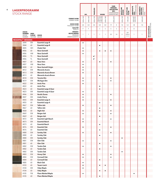| <b>LAGERPROGRAMM</b><br><b>STOCK RANGE</b> |                               |                 |                                                  |                                            |                        | <b>HPL</b>   | <b>TRACELESS</b>       | <b>DOORS</b>                                                                                      |              | FARB-<br><b>VERBUND-</b><br>COORDINATED<br><b>SURFACES MFC</b> | <b>KOLLEKTION</b><br><b>MFC</b> | <b>SPASTYLING</b><br>BOARDS | <b>SPASTYLING</b><br>FLOOR | ARBEITSPLATTE<br>IDEAL<br>Worktops Ideal | <b>NISCHENRÜCK-</b><br>Wand Ideal<br>SPLASH BACK<br>IDEAL |                                                |
|--------------------------------------------|-------------------------------|-----------------|--------------------------------------------------|--------------------------------------------|------------------------|--------------|------------------------|---------------------------------------------------------------------------------------------------|--------------|----------------------------------------------------------------|---------------------------------|-----------------------------|----------------------------|------------------------------------------|-----------------------------------------------------------|------------------------------------------------|
|                                            |                               |                 |                                                  | <b>FORMAT IN MM</b><br><b>FORMAT IN MM</b> | 3050 x 1320            | 2440 x 1220  | 3050 x 1320            | $\begin{array}{ l} 2180 \times 915 \\ 2180 \times 1020 \\ 2180 \times 1320 \\ \hline \end{array}$ | 2600 x 1380  |                                                                | 2800 x 2070                     | 3050 x 1320                 | $1245 \times 200$          | 3650×600<br>3650×900                     | 3650×650                                                  |                                                |
|                                            |                               |                 |                                                  | DICKE IN MM<br>THICKNESS IN MM             | 0,8                    | 0,8          | 0,8                    | 0,8                                                                                               | 0,8          | 19                                                             | $\,$ 8                          | 7,8                         | 5,4                        | 38                                       | 7,8                                                       |                                                |
|                                            |                               |                 |                                                  | <b>QUALITÄT</b>                            | P                      | P            |                        | $\mathsf S$                                                                                       | S            | $\mathsf S$                                                    | S                               | $\mathsf S$                 | $\mathsf S$                | D                                        |                                                           | <b>MIT SCHUTZFOLIE</b><br>WITH PROTECTIVE FOIL |
|                                            | <b>DEKOR-</b>                 |                 |                                                  | <b>QUALITY</b><br>MINDEST-                 |                        |              |                        |                                                                                                   |              |                                                                |                                 |                             | $20*$                      |                                          |                                                           |                                                |
|                                            | <b>NUMMER</b><br><b>DECOR</b> | OBER-<br>FLÄCHE | <b>DEKOR</b>                                     | <b>BESTELLMENGE</b><br>MINIMUM             | $\mathbf{1}$           | $\mathbf{1}$ | $\mathbf{1}$           | 1                                                                                                 | $\mathbf{1}$ | 20                                                             | 14                              | $\sqrt{2}$                  | PAKETE<br>PACKS            | $\mathbf{1}$                             | $\mathbf{1}$                                              |                                                |
|                                            | NUMBER                        | TEXTURE DECOR   |                                                  | <b>ORDER QUANTITY</b>                      |                        |              |                        |                                                                                                   |              |                                                                |                                 |                             |                            |                                          |                                                           |                                                |
| <b>RESOPAL<sup>®</sup> WOODS</b>           | 3044                          | EM              | <b>Essential Large B</b>                         |                                            |                        |              |                        |                                                                                                   |              |                                                                |                                 |                             |                            |                                          |                                                           |                                                |
|                                            | 3044                          | 60              | <b>Essential Large B</b>                         |                                            | $\bullet$              |              |                        | ٠                                                                                                 |              |                                                                |                                 |                             |                            |                                          |                                                           |                                                |
|                                            | 4005                          | WH              | Chalet Oak                                       |                                            | $\bullet$              |              |                        |                                                                                                   |              |                                                                |                                 |                             |                            |                                          |                                                           |                                                |
|                                            | 4006                          | 60              | Noce Savinelli                                   |                                            | $\bullet$              |              |                        | $\bullet$                                                                                         | $\bullet$    | $\bullet$                                                      |                                 |                             |                            |                                          |                                                           |                                                |
|                                            | 4006                          | HW              | <b>Noce Savinelli</b>                            |                                            | $\bullet$              |              |                        |                                                                                                   |              |                                                                |                                 |                             |                            |                                          |                                                           |                                                |
|                                            | 4006                          | TS              | Noce Savinelli                                   |                                            |                        |              | $\bullet$ <sup>1</sup> |                                                                                                   |              |                                                                |                                 |                             |                            |                                          |                                                           |                                                |
|                                            | 4006                          | TL              | <b>Noce Savinelli</b>                            |                                            |                        |              | $\bullet^1$            |                                                                                                   |              |                                                                |                                 |                             |                            |                                          |                                                           |                                                |
|                                            | 4007                          | 60              | Noce Vero                                        |                                            | $\bullet$              |              |                        | $\bullet$                                                                                         |              | $\bullet$                                                      |                                 |                             |                            |                                          |                                                           |                                                |
|                                            | 4007<br>4008                  | HW<br>60        | Noce Vero<br>Noce Savinelli Grigio               |                                            | $\bullet$<br>$\bullet$ |              |                        |                                                                                                   |              |                                                                |                                 |                             |                            |                                          |                                                           |                                                |
|                                            | 4012                          | EW              | Manarola Acacia                                  |                                            | ٠                      |              |                        |                                                                                                   |              |                                                                |                                 |                             |                            |                                          |                                                           |                                                |
|                                            | 4013                          | EW              | Manarola Acacia Brown                            |                                            | $\bullet$              |              |                        |                                                                                                   |              |                                                                |                                 |                             |                            |                                          |                                                           |                                                |
|                                            | 4013                          | 60              | Manarola Acacia Brown                            |                                            |                        |              |                        | $\bullet$                                                                                         |              |                                                                |                                 |                             |                            |                                          |                                                           |                                                |
|                                            | 4018                          | EW              | <b>Toronto Elm</b>                               |                                            | $\bullet$              |              |                        |                                                                                                   |              | $\bullet$                                                      |                                 |                             |                            |                                          |                                                           |                                                |
|                                            | 4019                          | EW              | Michigan Elm                                     |                                            | $\bullet$              |              |                        |                                                                                                   |              | $\bullet$                                                      |                                 |                             |                            |                                          |                                                           |                                                |
|                                            | 4022                          | EM              | <b>Arctic Pine</b>                               |                                            | $\bullet$              |              |                        |                                                                                                   |              |                                                                |                                 |                             |                            |                                          |                                                           |                                                |
|                                            | 4022                          | 60              | <b>Arctic Pine</b>                               |                                            |                        |              |                        | $\bullet$                                                                                         |              |                                                                |                                 |                             |                            |                                          |                                                           |                                                |
|                                            | 4023                          | 60              | <b>Essential Large A Quer</b>                    |                                            |                        |              |                        | ٠                                                                                                 |              |                                                                |                                 |                             |                            |                                          |                                                           |                                                |
|                                            | 4023                          | EM              | <b>Essential Large A Quer</b>                    |                                            | ٠                      |              |                        |                                                                                                   |              |                                                                |                                 |                             |                            |                                          |                                                           |                                                |
|                                            | 4046<br>4047                  | EM<br>EM        | <b>Nordic Dunes</b><br><b>Lively Cherry</b>      |                                            | $\bullet$              |              |                        |                                                                                                   |              | $\bullet$                                                      |                                 |                             |                            |                                          |                                                           |                                                |
|                                            | 4055                          | EM              | <b>Essential Large A</b>                         |                                            | $\bullet$<br>$\bullet$ |              |                        |                                                                                                   |              | $\bullet$                                                      |                                 |                             |                            |                                          |                                                           |                                                |
|                                            | 4055                          | 60              | <b>Essential Large A</b>                         |                                            |                        |              |                        | $\bullet$                                                                                         |              |                                                                |                                 |                             |                            |                                          |                                                           |                                                |
|                                            | 4067                          | EW              | <b>Tallinn Ash</b>                               |                                            | $\bullet$              |              |                        |                                                                                                   |              | $\bullet$                                                      |                                 |                             |                            |                                          |                                                           |                                                |
|                                            | 4067                          | 60              | <b>Tallinn Ash</b>                               |                                            |                        |              |                        | ٠                                                                                                 |              |                                                                |                                 |                             |                            |                                          |                                                           |                                                |
|                                            | 4068                          | 60              | Night Ash                                        |                                            | $\bullet$              |              |                        | $\bullet$                                                                                         |              | $\bullet$                                                      |                                 |                             |                            |                                          |                                                           |                                                |
|                                            | 4069                          | EW              | Bergen Ash                                       |                                            | ٠                      |              |                        |                                                                                                   |              | $\bullet$                                                      |                                 |                             |                            |                                          |                                                           |                                                |
|                                            | 4069                          | 60              | Bergen Ash                                       |                                            |                        |              |                        | $\bullet$                                                                                         |              |                                                                |                                 |                             |                            |                                          |                                                           |                                                |
|                                            | 4072                          | EM              | <b>Essential Light Beech</b>                     |                                            | $\bullet$              |              |                        |                                                                                                   |              | $\bullet$                                                      |                                 |                             |                            |                                          |                                                           |                                                |
|                                            | 4073<br>4073                  | EM<br>60        | <b>Essential Beech</b><br><b>Essential Beech</b> |                                            | $\bullet$              |              |                        | $\bullet$                                                                                         |              |                                                                |                                 |                             |                            |                                          |                                                           |                                                |
|                                            | 4076                          | EM              | <b>Essential Oak</b>                             |                                            | $\bullet$              |              |                        |                                                                                                   |              | $\bullet$                                                      |                                 |                             |                            |                                          |                                                           |                                                |
|                                            | 4076                          | 60              | <b>Essential Oak</b>                             |                                            |                        |              |                        | $\bullet$                                                                                         |              |                                                                |                                 |                             |                            |                                          |                                                           |                                                |
|                                            | 4080                          | EW              | Sunday Oak                                       |                                            | $\bullet$              |              |                        |                                                                                                   |              | $\bullet$                                                      |                                 |                             |                            |                                          |                                                           |                                                |
|                                            | 4080                          | 60              | Sunday Oak                                       |                                            |                        |              |                        | $\bullet$                                                                                         |              |                                                                |                                 |                             |                            |                                          |                                                           |                                                |
|                                            | 4080                          | EM              | Sunday Oak                                       |                                            |                        |              |                        |                                                                                                   |              |                                                                |                                 | $\bullet$                   |                            |                                          |                                                           |                                                |
|                                            | 4081                          | EW              | Glen Oak                                         |                                            | $\bullet$              |              |                        |                                                                                                   |              | $\bullet$                                                      |                                 |                             |                            |                                          |                                                           |                                                |
|                                            | 4081                          | $60\,$          | Glen Oak                                         |                                            |                        |              |                        | $\bullet$                                                                                         |              |                                                                |                                 |                             |                            |                                          |                                                           |                                                |
|                                            | 4082                          | EW              | Tundra Oak<br>Tundra Oak                         |                                            | $\bullet$              |              |                        |                                                                                                   |              | $\bullet$                                                      |                                 |                             |                            |                                          |                                                           |                                                |
|                                            | 4082<br>4082                  | $60\,$<br>EM    | Tundra Oak                                       |                                            |                        |              |                        | $\bullet$                                                                                         |              |                                                                |                                 | $\bullet$                   |                            |                                          |                                                           |                                                |
|                                            | 4083                          | EW              | Honey Oak                                        |                                            | $\bullet$              |              |                        |                                                                                                   |              | $\bullet$                                                      |                                 |                             |                            |                                          |                                                           |                                                |
|                                            | 4084                          | EW              | Cornwall Oak                                     |                                            | $\bullet$              |              |                        |                                                                                                   |              | $\bullet$                                                      |                                 |                             |                            |                                          |                                                           |                                                |
|                                            | 4084                          | $60\,$          | Cornwall Oak                                     |                                            |                        |              |                        | $\bullet$                                                                                         |              |                                                                |                                 |                             |                            |                                          |                                                           |                                                |
|                                            | 4085                          | 60              | <b>Black Oak</b>                                 |                                            | $\bullet$              |              |                        |                                                                                                   |              |                                                                |                                 |                             |                            |                                          |                                                           |                                                |
|                                            | 4103                          | 60              | <b>Tauern Larch</b>                              |                                            | $\bullet$              |              |                        | $\bullet$                                                                                         | $\bullet$    |                                                                |                                 |                             |                            |                                          |                                                           |                                                |
|                                            | 4104                          | EM              | <b>Visby Maple</b>                               |                                            | $\bullet$              |              |                        |                                                                                                   |              |                                                                |                                 |                             |                            |                                          |                                                           |                                                |
|                                            | 4104                          | $60\,$          | <b>Visby Maple</b>                               |                                            |                        |              |                        | $\bullet$                                                                                         | $\bullet$    |                                                                |                                 |                             |                            |                                          |                                                           |                                                |
|                                            | 4105                          | FW              | <b>Plane Marked Maple</b>                        |                                            |                        |              |                        |                                                                                                   |              |                                                                |                                 |                             |                            |                                          |                                                           |                                                |
|                                            | 4105                          | $60\,$          | Plane Marked Maple                               |                                            |                        |              |                        |                                                                                                   |              |                                                                |                                 |                             |                            |                                          |                                                           |                                                |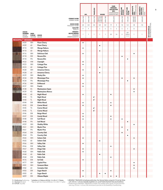|                                  |                                                                 |                                   |                                          |                                                       |              | HPL          | <b>TRACELESS</b>       | <b>DOORS</b>                                                                                               |              | FARB-<br><b>VERBUND-</b><br><b>KOLLEKTION</b><br>COORDINATED<br><b>SURFACES MFC</b> | <b>MFC</b>  | <b>SPASTYLING</b><br>BOARDS | <b>SPASTYLING</b><br>FLOOR | ARBEITSPLATTE<br>IDEAL<br>Worktops Ideal | <b>NISCHENRÜCK-</b><br>WAND IDEAL<br>SPLASH BACK<br>IDEAL |                                                |
|----------------------------------|-----------------------------------------------------------------|-----------------------------------|------------------------------------------|-------------------------------------------------------|--------------|--------------|------------------------|------------------------------------------------------------------------------------------------------------|--------------|-------------------------------------------------------------------------------------|-------------|-----------------------------|----------------------------|------------------------------------------|-----------------------------------------------------------|------------------------------------------------|
|                                  |                                                                 |                                   |                                          | <b>FORMAT IN MM</b><br>FORMAT IN MM                   | 3050 x 1320  | 2440 x 1220  | 3050×1320              | $\begin{array}{ c c }\hline 2180 \times 915 \\ 2180 \times 1020 \\ 2180 \times 1320 \\ \hline \end{array}$ | 2600 x 1380  |                                                                                     | 2800 x 2070 | 3050 x 1320                 | $1245 \times 200$          | 3650 x 600<br>3650 x 900                 | 3650×650                                                  |                                                |
|                                  |                                                                 |                                   |                                          | DICKE IN MM<br>THICKNESS IN MM                        | 0,8          | 0,8          | 0,8                    | 0,8                                                                                                        | $0,8$        | 19                                                                                  | $\,$ 8 $\,$ | 7,8                         | 5,4                        | 38                                       | 7,8                                                       |                                                |
|                                  |                                                                 |                                   |                                          | QUALITÄT<br>QUALITY                                   | P            | P            |                        | $\mathsf S$                                                                                                | $\mathsf S$  | $\mathsf S$                                                                         | $\sf S$     | $\sf S$                     | $\sf S$                    | D                                        |                                                           |                                                |
|                                  | <b>DEKOR-</b><br><b>NUMMER</b><br><b>DECOR</b><br><b>NUMBER</b> | OBER-<br>FLÄCHE<br><b>TEXTURE</b> | <b>DEKOR</b><br><b>DECOR</b>             | MINDEST-<br>BESTELLMENGE<br>MINIMUM<br>ORDER QUANTITY | $\mathbf{1}$ | $\mathbf{1}$ | $\mathbf{1}$           | $\mathbf{1}$                                                                                               | $\mathbf{1}$ | 20                                                                                  | 14          | $\sqrt{2}$                  | $20*$<br>PAKETE<br>PACKS   | 1                                        | $\mathbf{1}$                                              | <b>MIT SCHUTZFOLIE</b><br>With Protective foil |
| <b>RESOPAL<sup>®</sup> WOODS</b> |                                                                 |                                   |                                          |                                                       |              |              |                        |                                                                                                            |              |                                                                                     |             |                             |                            |                                          |                                                           |                                                |
|                                  | 4109                                                            | WH                                | <b>Piave Cherry</b>                      |                                                       | $\bullet$    |              |                        |                                                                                                            |              |                                                                                     |             |                             |                            |                                          |                                                           |                                                |
|                                  | 4109                                                            | 60                                | <b>Piave Cherry</b>                      |                                                       |              |              |                        | $\bullet$                                                                                                  |              |                                                                                     |             |                             |                            |                                          |                                                           |                                                |
|                                  | 4110<br>4110                                                    | WH<br>60                          | <b>Wenge Nakuru</b><br>Wenge Nakuru      |                                                       | $\bullet$    |              |                        |                                                                                                            |              |                                                                                     |             |                             |                            |                                          |                                                           |                                                |
|                                  | 4116                                                            | WH                                | <b>Delicious Oak</b>                     |                                                       | $\bullet$    |              |                        | $\bullet$                                                                                                  |              |                                                                                     |             |                             |                            | ٠                                        |                                                           |                                                |
|                                  | 4118                                                            | EM                                | Novara Elm                               |                                                       |              |              |                        |                                                                                                            |              |                                                                                     |             | $\bullet$                   |                            |                                          |                                                           |                                                |
|                                  | 4118                                                            | <b>FN</b>                         | Novara Elm                               |                                                       |              |              |                        |                                                                                                            |              |                                                                                     |             |                             | $\bullet$                  |                                          |                                                           |                                                |
|                                  | 4122                                                            | HW                                | Citynight                                |                                                       | $\bullet$    |              |                        |                                                                                                            |              |                                                                                     |             |                             |                            |                                          |                                                           |                                                |
|                                  | 4123                                                            | WH                                | <b>Cottage Pine</b>                      |                                                       | $\bullet$    |              |                        |                                                                                                            |              |                                                                                     |             |                             |                            |                                          |                                                           |                                                |
|                                  | 4123                                                            | 60                                | <b>Cottage Pine</b>                      |                                                       |              |              |                        | $\bullet$                                                                                                  |              |                                                                                     |             |                             |                            |                                          |                                                           |                                                |
|                                  | 4128                                                            | WH                                | Amarena Cherry                           |                                                       | $\bullet$    |              |                        |                                                                                                            |              |                                                                                     |             |                             |                            |                                          |                                                           |                                                |
|                                  | 4128                                                            | 60                                | Amarena Cherry                           |                                                       |              |              |                        | $\bullet$                                                                                                  |              |                                                                                     |             |                             |                            |                                          |                                                           |                                                |
|                                  | 4129                                                            | WH                                | <b>Washy Elm</b>                         |                                                       | $\bullet$    |              |                        |                                                                                                            |              |                                                                                     |             |                             |                            |                                          |                                                           |                                                |
|                                  | 4134                                                            | EM                                | Mississippi Pine                         |                                                       | $\bullet$    |              |                        |                                                                                                            |              |                                                                                     |             | $\bullet$                   |                            | $\bullet$                                |                                                           |                                                |
|                                  | 4134                                                            | FN                                | Mississippi Pine                         |                                                       |              |              |                        |                                                                                                            |              |                                                                                     |             |                             | ٠                          |                                          |                                                           |                                                |
|                                  | 4136                                                            | WH                                | Driftwood                                |                                                       | $\bullet$    |              |                        |                                                                                                            |              |                                                                                     |             |                             |                            |                                          |                                                           |                                                |
|                                  | 4137                                                            | WH                                | Frantic                                  |                                                       | $\bullet$    |              |                        |                                                                                                            |              |                                                                                     |             |                             |                            |                                          |                                                           |                                                |
|                                  | 4138                                                            | KS                                | Masterpiece Sepia                        |                                                       |              |              |                        |                                                                                                            |              |                                                                                     |             |                             |                            | $\bullet$                                |                                                           |                                                |
|                                  | 4139<br>4140                                                    | KS<br>60                          | Masterpiece Bianco                       |                                                       |              |              |                        |                                                                                                            |              |                                                                                     |             |                             |                            | $\bullet$                                |                                                           |                                                |
|                                  | 4140                                                            | $TS$                              | Night Wood<br>Night Wood                 |                                                       | $\bullet$    |              | $\bullet$ <sup>1</sup> |                                                                                                            |              | $\bullet$                                                                           |             |                             |                            |                                          |                                                           |                                                |
|                                  | 4140                                                            | TL                                | Night Wood                               |                                                       |              |              | $\bullet^1$            |                                                                                                            |              |                                                                                     |             |                             |                            |                                          |                                                           |                                                |
|                                  | 4144                                                            | EM                                | White Wood                               |                                                       | $\bullet$    |              |                        |                                                                                                            |              | $\bullet$                                                                           |             |                             |                            |                                          |                                                           |                                                |
|                                  | 4145                                                            | EM                                | <b>Creme Wood</b>                        |                                                       | $\bullet$    |              |                        |                                                                                                            |              | $\bullet$                                                                           |             |                             |                            |                                          |                                                           |                                                |
|                                  | 4145                                                            | TS                                | Creme Wood                               |                                                       |              |              | $\bullet$ <sup>1</sup> |                                                                                                            |              |                                                                                     |             |                             |                            |                                          |                                                           |                                                |
|                                  | 4145                                                            | TL                                | <b>Creme Wood</b>                        |                                                       |              |              | $\bullet$ <sup>1</sup> |                                                                                                            |              |                                                                                     |             |                             |                            |                                          |                                                           |                                                |
|                                  | 4146                                                            | EM                                | <b>Beige Wood</b>                        |                                                       | $\bullet$    |              |                        |                                                                                                            |              |                                                                                     |             |                             |                            |                                          |                                                           |                                                |
|                                  | 4147                                                            | EM                                | Candy Wood                               |                                                       | $\bullet$    |              |                        |                                                                                                            |              | $\bullet$                                                                           |             |                             |                            |                                          |                                                           |                                                |
|                                  | 4148                                                            | EM                                | Soil Wood                                |                                                       | $\bullet$    |              |                        |                                                                                                            |              | $\bullet$                                                                           |             | $\bullet$                   |                            |                                          |                                                           |                                                |
|                                  | 4148                                                            | FN                                | Soil Wood                                |                                                       |              |              |                        |                                                                                                            |              |                                                                                     |             |                             | $\bullet$                  |                                          |                                                           |                                                |
|                                  | 4159                                                            | WH                                | Shabby White                             |                                                       |              |              |                        |                                                                                                            |              |                                                                                     |             |                             |                            | $\bullet$                                |                                                           |                                                |
|                                  | 4161<br>4161                                                    | WH                                | <b>Mystic Pine</b>                       |                                                       |              |              |                        |                                                                                                            |              |                                                                                     |             |                             |                            |                                          |                                                           |                                                |
|                                  | 4164                                                            | <b>FN</b><br>EM                   | <b>Mystic Pine</b><br><b>Country Oak</b> |                                                       |              |              |                        |                                                                                                            |              |                                                                                     |             | $\bullet$                   | $\bullet$                  |                                          |                                                           |                                                |
|                                  | 4164                                                            | <b>FN</b>                         | <b>Country Oak</b>                       |                                                       |              |              |                        |                                                                                                            |              |                                                                                     |             |                             | $\bullet$                  |                                          |                                                           |                                                |
|                                  | 4165                                                            | WH                                | Solano Oak                               |                                                       | $\bullet$    |              |                        |                                                                                                            |              |                                                                                     |             |                             |                            | $\bullet$                                |                                                           |                                                |
|                                  | 4165                                                            | 60                                | Solano Oak                               |                                                       |              |              |                        | $\bullet$                                                                                                  |              |                                                                                     |             |                             |                            |                                          |                                                           |                                                |
|                                  | 4166                                                            | WH                                | <b>Valley Oak</b>                        |                                                       | $\bullet$    |              |                        |                                                                                                            |              |                                                                                     |             |                             |                            |                                          |                                                           |                                                |
|                                  | 4166                                                            | EW                                | <b>Valley Oak</b>                        |                                                       |              |              |                        |                                                                                                            |              | $\bullet$                                                                           |             |                             |                            |                                          |                                                           |                                                |
|                                  | 4167                                                            | WH                                | Diego Oak                                |                                                       | $\bullet$    |              |                        |                                                                                                            |              |                                                                                     |             |                             |                            | $\bullet$                                |                                                           |                                                |
|                                  | 4168                                                            | WH                                | Pablo Oak                                |                                                       | $\bullet$    |              |                        |                                                                                                            |              |                                                                                     |             |                             |                            |                                          |                                                           |                                                |
|                                  | 4168                                                            | 60                                | Pablo Oak                                |                                                       |              |              |                        | $\bullet$                                                                                                  |              |                                                                                     |             |                             |                            |                                          |                                                           |                                                |
|                                  | 4168                                                            | EW                                | Pablo Oak                                |                                                       |              |              |                        |                                                                                                            |              | $\bullet$                                                                           |             |                             |                            |                                          |                                                           |                                                |
|                                  | 4176                                                            | EW                                | Sol Oak                                  |                                                       | $\bullet$    |              |                        |                                                                                                            |              |                                                                                     |             |                             |                            |                                          |                                                           |                                                |
|                                  | 4177                                                            | WH                                | <b>Capitol Pine</b>                      |                                                       |              |              |                        |                                                                                                            |              |                                                                                     |             |                             |                            |                                          |                                                           |                                                |
|                                  | 4181                                                            | WH                                | Cerasum Mare                             |                                                       |              |              |                        |                                                                                                            |              |                                                                                     |             |                             |                            | $\bullet$                                |                                                           |                                                |
|                                  | 4182                                                            | $60\,$                            | Complex Oak                              |                                                       |              |              |                        |                                                                                                            |              |                                                                                     |             |                             |                            |                                          |                                                           |                                                |
|                                  | 4183                                                            | EM                                | Sugar Beech                              |                                                       | $\bullet$    |              |                        |                                                                                                            |              | $\bullet$                                                                           |             |                             |                            |                                          |                                                           |                                                |
|                                  | 4183                                                            | $60\,$                            | Sugar Beech                              |                                                       |              |              |                        | ٠                                                                                                          | $\bullet$    |                                                                                     |             |                             |                            |                                          |                                                           |                                                |
|                                  | 4209                                                            | EM                                | Ottawa Maple                             |                                                       | $\bullet$    |              |                        |                                                                                                            |              |                                                                                     |             |                             |                            |                                          |                                                           |                                                |

P = Postforming Postforming S = Standard Standard D = D-Profil D-profile

\* Aufteilbar in 2 Dekore à 80 Stk.≙2 x 20 m²≙1 Palette<br>\* May be split into 2 decors @ 80 pcs.≙2 x 20m²≙1 pallet

1) RESOPAL® TRACELESS ist bedingt postformbar. Der kleinste Radius entspricht 10-mal der Dicke<br>(2.B. 0,8 mm = ≥ 8 mm). Deshalb empfehlen wir, vorab Postformbarkeits-Tests durchzuführen.<br>1) Postforming for RESOPAL® TRACELE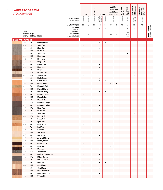| <b>LAGERPROGRAMM</b><br><b>STOCK RANGE</b> |                               |                 |                                             |                                     |                        | HPL         | <b>TRACELESS</b> | <b>DOORS</b>                       |              |             | FARB-<br><b>VERBUND-</b><br><b>KOLLEKTION</b><br><b>MFC</b><br>COORDINATED<br><b>SURFACES MFC</b> | <b>SPASTYLING</b><br>BOARDS | <b>SPASTYLING<br/>FLOOR</b> | ARBEITSPLATTE<br>IDEAL<br>Worktops Ideal | <b>NISCHENRÜCK-</b><br>WAND IDEAL<br>SPLASH BACK<br>IDEAL |                                                |
|--------------------------------------------|-------------------------------|-----------------|---------------------------------------------|-------------------------------------|------------------------|-------------|------------------|------------------------------------|--------------|-------------|---------------------------------------------------------------------------------------------------|-----------------------------|-----------------------------|------------------------------------------|-----------------------------------------------------------|------------------------------------------------|
|                                            |                               |                 |                                             | <b>FORMAT IN MM</b><br>FORMAT IN MM | 3050 x 1320            | 2440 x 1220 | 3050 x 1320      | 2180x915<br>2180x1020<br>2180x1320 | 2600 x 1380  |             | 2800 x 2070                                                                                       | 3050 x 1320                 | $1245 \times 200$           | 3650×600<br>3650×900                     | 3650×650                                                  |                                                |
|                                            |                               |                 |                                             | DICKE IN MM                         | 0,8                    | 0,8         | 0,8              | 0,8                                | 0,8          | 19          | $\,$ 8 $\,$                                                                                       | 7,8                         | 5,4                         | 38                                       | 7,8                                                       |                                                |
|                                            |                               |                 |                                             | THICKNESS IN MM<br><b>QUALITÄT</b>  |                        |             |                  |                                    |              |             |                                                                                                   |                             |                             |                                          |                                                           | <b>MIT SCHUTZFOLIE</b><br>WITH PROTECTIVE FOIL |
|                                            | <b>DEKOR-</b>                 |                 |                                             | QUALITY<br>MINDEST-                 | P                      | P           |                  | $\mathsf S$                        | $\mathsf S$  | $\mathsf S$ | $\mathsf S$                                                                                       | $\mathsf S$                 | S                           | D                                        |                                                           |                                                |
|                                            | <b>NUMMER</b><br><b>DECOR</b> | OBER-<br>FLÄCHE | <b>DEKOR</b>                                | BESTELLMENGE<br>MINIMUM             | $\mathbf{1}$           | 1           | 1                | 1                                  | $\mathbf{1}$ | 20          | 14                                                                                                | $\sqrt{2}$                  | $20*$<br>PAKETE             | $\mathbf{1}$                             | $\mathbf{1}$                                              |                                                |
|                                            | <b>NUMBER</b>                 | <b>TEXTURE</b>  | <b>DECOR</b>                                | <b>ORDER QUANTITY</b>               |                        |             |                  |                                    |              |             |                                                                                                   |                             | PACKS                       |                                          |                                                           |                                                |
| <b>RESOPAL<sup>®</sup> WOODS</b>           |                               |                 |                                             |                                     |                        |             |                  |                                    |              |             |                                                                                                   |                             |                             |                                          |                                                           |                                                |
|                                            | 4209                          | 60              | <b>Ottawa Maple</b>                         |                                     |                        |             |                  |                                    |              |             |                                                                                                   |                             |                             |                                          |                                                           |                                                |
|                                            | 4228                          | WH              | Silver Oak                                  |                                     | $\bullet$              |             |                  |                                    |              |             |                                                                                                   |                             |                             |                                          |                                                           |                                                |
|                                            | 4228                          | 60              | Silver Oak                                  |                                     |                        |             |                  | $\bullet$                          |              |             |                                                                                                   |                             |                             |                                          |                                                           |                                                |
|                                            | 4228                          | EM              | Silver Oak                                  |                                     |                        |             |                  |                                    | $\bullet$    |             |                                                                                                   | $\bullet$                   |                             |                                          |                                                           |                                                |
|                                            | 4228<br>4232                  | <b>FN</b><br>EM | Silver Oak<br>Noce Lyon                     |                                     | $\bullet$              |             |                  |                                    |              |             |                                                                                                   |                             | ٠                           |                                          |                                                           |                                                |
|                                            | 4232                          | 60              | Noce Lyon                                   |                                     |                        |             |                  | $\bullet$                          |              |             |                                                                                                   |                             |                             |                                          |                                                           |                                                |
|                                            | 4235                          | WH              | <b>Magas Oak</b>                            |                                     | $\bullet$              |             |                  |                                    |              |             |                                                                                                   |                             |                             |                                          |                                                           |                                                |
|                                            | 4235                          | 60              | <b>Magas Oak</b>                            |                                     |                        |             |                  | $\bullet$                          |              |             |                                                                                                   |                             |                             |                                          |                                                           |                                                |
|                                            | 4260                          | 60              | Noce Lugo                                   |                                     | $\bullet$              |             |                  | $\bullet$                          |              |             |                                                                                                   |                             |                             |                                          |                                                           |                                                |
|                                            | 4265                          | 60              | Nutshell                                    |                                     |                        |             |                  |                                    |              |             |                                                                                                   |                             |                             | $\bullet$                                |                                                           |                                                |
|                                            | 4282                          | WH              | <b>Delicate Oak</b>                         |                                     |                        |             |                  |                                    |              |             |                                                                                                   |                             |                             | ٠                                        |                                                           |                                                |
|                                            | 4289                          | <b>FW</b>       | Vintage Oak                                 |                                     | $\bullet$              |             |                  |                                    |              |             |                                                                                                   |                             |                             | $\bullet$                                |                                                           |                                                |
|                                            | 4301                          | 60              | <b>Platin Beech</b>                         |                                     | $\bullet$              |             |                  | $\bullet$                          |              |             |                                                                                                   |                             |                             |                                          |                                                           |                                                |
|                                            | 4306                          | 60              | <b>Global Beech</b>                         |                                     | ٠                      |             |                  | $\bullet$                          | ٠            |             |                                                                                                   |                             |                             |                                          |                                                           |                                                |
|                                            | 4306                          | EM              | <b>Global Beech</b>                         |                                     |                        |             |                  |                                    |              | $\bullet$   | $\bullet$                                                                                         |                             |                             |                                          |                                                           |                                                |
|                                            | 4319                          | WH              | <b>Mountain Oak</b>                         |                                     |                        |             |                  |                                    |              |             |                                                                                                   |                             |                             | ٠                                        |                                                           |                                                |
|                                            | 4325                          | EM              | <b>Eternal Cherry</b>                       |                                     | $\bullet$              |             |                  |                                    |              |             |                                                                                                   |                             |                             |                                          |                                                           |                                                |
|                                            | 4325                          | 60              | <b>Eternal Cherry</b>                       |                                     |                        |             |                  | $\bullet$                          | $\bullet$    |             |                                                                                                   |                             |                             |                                          |                                                           |                                                |
|                                            | 4326<br>4332                  | 60<br>EM        | <b>Morello Cherry</b><br><b>Mono Deluxe</b> |                                     | $\bullet$<br>$\bullet$ |             |                  |                                    |              |             |                                                                                                   |                             |                             |                                          |                                                           |                                                |
|                                            | 4332                          | 60              | Mono Deluxe                                 |                                     |                        |             |                  | $\bullet$                          |              |             |                                                                                                   |                             |                             |                                          |                                                           |                                                |
|                                            | 4335                          | WH              | <b>Mountain Lodge</b>                       |                                     | $\bullet$              |             |                  |                                    |              |             |                                                                                                   |                             |                             |                                          |                                                           |                                                |
|                                            | 4335                          | 60              | <b>Mountain Lodge</b>                       |                                     |                        |             |                  | $\bullet$                          |              |             |                                                                                                   |                             |                             |                                          |                                                           |                                                |
|                                            | 4339                          | EW              | <b>Silver Pine</b>                          |                                     | ٠                      |             |                  |                                    |              | ٠           |                                                                                                   |                             |                             |                                          |                                                           |                                                |
|                                            | 4339                          | 60              | <b>Silver Pine</b>                          |                                     |                        |             |                  | $\bullet$                          | $\bullet$    |             |                                                                                                   |                             |                             |                                          |                                                           |                                                |
|                                            | 4339                          | WH              | <b>Silver Pine</b>                          |                                     |                        |             |                  |                                    |              |             |                                                                                                   |                             |                             | $\bullet$                                |                                                           |                                                |
|                                            | 4344                          | EW              | <b>Rustic Oak</b>                           |                                     | $\bullet$              |             |                  |                                    |              |             |                                                                                                   |                             |                             |                                          |                                                           |                                                |
|                                            | 4344                          | 60              | <b>Rustic Oak</b>                           |                                     |                        |             |                  | $\bullet$                          | $\bullet$    |             |                                                                                                   |                             |                             |                                          |                                                           |                                                |
|                                            | 4353                          | 60              | <b>Fjord Birch</b>                          |                                     | $\bullet$              |             |                  | $\bullet$                          |              |             |                                                                                                   |                             |                             |                                          |                                                           |                                                |
|                                            | 4356                          | 60              | <b>Heart Apple</b>                          |                                     | $\bullet$              |             |                  |                                    |              |             |                                                                                                   |                             |                             |                                          |                                                           |                                                |
|                                            | 4360                          | WH              | Real Ash                                    |                                     | $\bullet$              |             |                  |                                    |              |             |                                                                                                   |                             |                             |                                          |                                                           |                                                |
|                                            | 4360                          | 60              | Real Ash                                    |                                     |                        |             |                  | $\bullet$                          | $\bullet$    |             |                                                                                                   |                             |                             |                                          |                                                           |                                                |
|                                            | 4367                          | EM              | Sun Maple                                   |                                     | $\bullet$              |             |                  |                                    |              |             |                                                                                                   |                             |                             |                                          |                                                           |                                                |
|                                            | 4367<br>4369                  | 60<br>60        | Sun Maple<br><b>Ambient Maple</b>           |                                     |                        |             |                  | $\bullet$                          |              |             |                                                                                                   |                             |                             |                                          |                                                           |                                                |
|                                            | 4370                          | EM              | <b>Display Maple</b>                        |                                     | $\bullet$<br>$\bullet$ |             |                  |                                    |              |             |                                                                                                   |                             |                             |                                          |                                                           |                                                |
|                                            | 4388                          | 60              | Concept Oak                                 |                                     | $\bullet$              |             |                  |                                    |              |             |                                                                                                   |                             |                             |                                          |                                                           |                                                |
|                                            | 4393                          | 60              | Coco Bolo                                   |                                     | $\bullet$              |             |                  |                                    |              | $\bullet$   |                                                                                                   |                             |                             |                                          |                                                           |                                                |
|                                            | 4397                          | 60              | Macassar                                    |                                     | $\bullet$              |             |                  | $\bullet$                          |              | $\bullet$   |                                                                                                   |                             |                             |                                          |                                                           |                                                |
|                                            | 4399                          | WS              | <b>Tropic Reed</b>                          |                                     | $\bullet$              |             |                  |                                    |              |             |                                                                                                   |                             |                             |                                          |                                                           |                                                |
|                                            | 4402                          | $60\,$          | Gotland Cherry Quer                         |                                     | $\bullet$              |             |                  | $\bullet$                          |              |             |                                                                                                   |                             |                             |                                          |                                                           |                                                |
|                                            | 4408                          | FW              | Milano Qwear                                |                                     | $\bullet$              |             |                  |                                    |              |             |                                                                                                   |                             |                             |                                          |                                                           |                                                |
|                                            | 4408                          | 60              | Milano Qwear                                |                                     |                        |             |                  | $\bullet$                          |              |             |                                                                                                   |                             |                             |                                          |                                                           |                                                |
|                                            | 4414                          | 60              | Finn Oak                                    |                                     | $\bullet$              |             |                  | $\bullet$                          | $\bullet$    |             |                                                                                                   |                             |                             |                                          |                                                           |                                                |
|                                            | 4438                          | EM              | <b>Core Maple</b>                           |                                     | $\bullet$              |             |                  |                                    |              |             |                                                                                                   |                             |                             |                                          |                                                           |                                                |
|                                            | 4438                          | 60              | <b>Core Maple</b>                           |                                     |                        |             |                  | $\bullet$                          |              |             |                                                                                                   |                             |                             | $\bullet$                                |                                                           |                                                |
|                                            | 4447                          | EM              | Noce Romantica                              |                                     | $\bullet$              |             |                  |                                    |              |             |                                                                                                   |                             |                             |                                          |                                                           |                                                |
|                                            | 4447                          | 60              | Noce Romantica                              |                                     |                        |             |                  | $\bullet$                          |              |             |                                                                                                   |                             |                             |                                          |                                                           |                                                |
|                                            | 4448                          | EM              | <b>Unique Elm</b>                           |                                     | $\bullet$              |             |                  |                                    |              |             |                                                                                                   |                             |                             |                                          |                                                           |                                                |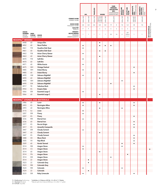|                                  |                                                                 |                                                                                                                              |                                                 |                                                              |                        | <b>HPL</b>   | TRACELESS    | <b>DOORS</b>                       |                | FARB-<br><b>VERBUND-</b><br>COORDINATED | <b>KOLLEKTION</b><br><b>MFC</b><br><b>SURFACES MFC</b> | <b>SPASTYLING</b><br>BOARDS | <b>SPASTYLING<br/>FLOOR</b> | ARBEITSPLATTE<br>Ideal<br>Worktops Ideal | <b>NISCHENRÜCK-</b><br>WAND IDEAL<br>SPLASH BACK<br>IDEAL |                                                |
|----------------------------------|-----------------------------------------------------------------|------------------------------------------------------------------------------------------------------------------------------|-------------------------------------------------|--------------------------------------------------------------|------------------------|--------------|--------------|------------------------------------|----------------|-----------------------------------------|--------------------------------------------------------|-----------------------------|-----------------------------|------------------------------------------|-----------------------------------------------------------|------------------------------------------------|
|                                  |                                                                 |                                                                                                                              |                                                 | <b>FORMAT IN MM</b><br><b>FORMAT IN MM</b>                   | 3050 x 1320            | 2440 x 1220  | 3050 x 1320  | 2180x915<br>2180x1020<br>2180x1320 | 2600 x 1380    |                                         | 2800 x 2070                                            | 3050 x 1320                 | $1245 \times 200$           | $3650 \times 600$<br>$3650 \times 900$   | 3650×650                                                  |                                                |
|                                  |                                                                 |                                                                                                                              |                                                 | <b>DICKE IN MM</b><br>THICKNESS IN MM                        | 0,8                    | $0,8$        | 0,8          | 0,8                                | 0,8            | 19                                      | $\,$ 8 $\,$                                            | 7,8                         | 5,4                         | 38                                       | 7,8                                                       |                                                |
|                                  |                                                                 |                                                                                                                              |                                                 | QUALITÄT<br>QUALITY                                          | P                      | P            |              | $\mathsf S$                        | $\mathsf S$    | $\mathsf S$                             | $\mathsf S$                                            | $\mathsf S$                 | $\sf S$                     | $\mathsf D$                              |                                                           |                                                |
|                                  | <b>DEKOR-</b><br><b>NUMMER</b><br><b>DECOR</b><br><b>NUMBER</b> | OBER-<br>FLÄCHE<br><b>TEXTURE</b>                                                                                            | <b>DEKOR</b><br><b>DECOR</b>                    | <b>MINDEST-</b><br>BESTELLMENGE<br>MINIMUM<br>ORDER QUANTITY | 1                      | $\mathbf{1}$ | $\mathbf{1}$ | $\mathbf{1}$                       | $\overline{1}$ | 20                                      | 14                                                     | $\sqrt{2}$                  | $20*$<br>PAKETE<br>PACKS    | $\mathbf{1}$                             | $\mathbf{1}$                                              | <b>MIT SCHUTZFOLIE</b><br>WITH PROTECTIVE FOIL |
| <b>RESOPAL<sup>®</sup> WOODS</b> |                                                                 |                                                                                                                              |                                                 |                                                              |                        |              |              |                                    |                |                                         |                                                        |                             |                             |                                          |                                                           |                                                |
|                                  | 4448                                                            | 60                                                                                                                           | <b>Unique Elm</b>                               |                                                              |                        |              |              | ٠                                  |                |                                         |                                                        |                             |                             |                                          |                                                           |                                                |
|                                  | 4452                                                            | 60                                                                                                                           | <b>Noce Praline</b>                             |                                                              | $\bullet$              |              |              | $\bullet$                          | $\bullet$      | $\bullet$                               |                                                        |                             |                             |                                          |                                                           |                                                |
|                                  | 4461                                                            | <b>FW</b>                                                                                                                    | Guadina Oak Quer                                |                                                              | $\bullet$              |              |              |                                    |                |                                         |                                                        |                             |                             |                                          |                                                           |                                                |
|                                  | 4461<br>4463                                                    | 60<br>FW                                                                                                                     | Guadina Oak Quer<br>Avian Cherry Qwear          |                                                              | $\bullet$              |              |              | $\bullet$                          | $\bullet$      |                                         |                                                        |                             |                             |                                          |                                                           |                                                |
|                                  | 4463                                                            | 60                                                                                                                           | Avian Cherry Qwear                              |                                                              |                        |              |              | $\bullet$                          |                |                                         |                                                        |                             |                             |                                          |                                                           |                                                |
|                                  | 4470                                                            | FW                                                                                                                           | Soft Elm                                        |                                                              | $\bullet$              |              |              |                                    |                |                                         |                                                        |                             |                             |                                          |                                                           |                                                |
|                                  | 4470                                                            | 60                                                                                                                           | Soft Elm                                        |                                                              |                        |              |              | $\bullet$                          |                |                                         |                                                        |                             |                             |                                          |                                                           |                                                |
|                                  | 4471                                                            | 60                                                                                                                           | <b>White Acacia</b>                             |                                                              | ٠                      |              |              |                                    |                |                                         |                                                        |                             |                             |                                          |                                                           |                                                |
|                                  | 4475                                                            | WH                                                                                                                           | <b>Vintage Festival</b>                         |                                                              |                        |              |              |                                    |                |                                         |                                                        |                             |                             |                                          |                                                           |                                                |
|                                  | 4485                                                            | WH                                                                                                                           | Dubai Ebony                                     |                                                              | ٠                      |              |              |                                    |                |                                         |                                                        |                             |                             |                                          |                                                           |                                                |
|                                  | 4485                                                            | 60                                                                                                                           | Dubai Ebony                                     |                                                              |                        |              |              | $\bullet$                          |                |                                         |                                                        |                             |                             |                                          |                                                           |                                                |
|                                  | 4490                                                            | HW                                                                                                                           | Zebrano Nightfall                               |                                                              | $\bullet$              |              |              |                                    |                |                                         |                                                        |                             |                             |                                          |                                                           |                                                |
|                                  | 4490                                                            | 60                                                                                                                           | Zebrano Nightfall                               |                                                              |                        |              |              | $\bullet$                          |                |                                         |                                                        |                             |                             |                                          |                                                           |                                                |
|                                  | 4490<br>4490                                                    | WH<br>EW                                                                                                                     | Zebrano Nightfall<br>Zebrano Nightfall          |                                                              |                        |              |              |                                    |                |                                         |                                                        | ٠                           |                             |                                          |                                                           |                                                |
|                                  | 4917                                                            | 90                                                                                                                           | Sabulous Rock                                   |                                                              |                        |              |              |                                    |                | $\bullet$                               |                                                        |                             |                             | $\bullet$                                |                                                           |                                                |
|                                  | 4943                                                            | KS                                                                                                                           | <b>Empire Slate</b>                             |                                                              |                        |              |              |                                    |                |                                         |                                                        |                             |                             |                                          |                                                           |                                                |
|                                  | 5066                                                            | EM                                                                                                                           | <b>Essential Large C</b>                        |                                                              | $\bullet$              |              |              |                                    |                |                                         |                                                        |                             |                             |                                          |                                                           |                                                |
|                                  | 5066                                                            | 60                                                                                                                           | <b>Essential Large C</b>                        |                                                              |                        |              |              | $\bullet$                          |                |                                         |                                                        |                             |                             |                                          |                                                           |                                                |
|                                  |                                                                 |                                                                                                                              |                                                 |                                                              |                        |              |              |                                    |                |                                         |                                                        |                             |                             |                                          |                                                           |                                                |
|                                  |                                                                 |                                                                                                                              | <b>RESOPAL<sup>®</sup> STONES AND MATERIALS</b> |                                                              |                        |              |              |                                    |                |                                         |                                                        |                             |                             |                                          |                                                           |                                                |
|                                  | 2486<br>2493                                                    | 60<br>KS                                                                                                                     | Luxor                                           |                                                              | $\bullet$<br>$\bullet$ |              |              | $\bullet$                          |                |                                         |                                                        |                             |                             |                                          |                                                           |                                                |
|                                  | 2493                                                            | 60                                                                                                                           | <b>Remington Mine</b><br><b>Remington Mine</b>  |                                                              |                        |              |              | ٠                                  |                |                                         |                                                        | $\bullet$                   |                             |                                          |                                                           |                                                |
|                                  | 3115                                                            | AJ                                                                                                                           | Linen                                           |                                                              | $\bullet$              |              |              |                                    |                |                                         |                                                        |                             |                             |                                          |                                                           |                                                |
|                                  | 3207                                                            | EM                                                                                                                           | Finery                                          |                                                              | ٠                      |              |              |                                    |                |                                         |                                                        |                             |                             |                                          |                                                           |                                                |
|                                  | 3207                                                            | KS                                                                                                                           | Finery                                          |                                                              |                        |              |              |                                    |                |                                         |                                                        |                             |                             |                                          |                                                           |                                                |
|                                  | 3236                                                            | <b>RM</b>                                                                                                                    | <b>Eternal Iron</b>                             |                                                              | ٠                      |              |              |                                    |                |                                         |                                                        |                             |                             |                                          |                                                           |                                                |
|                                  | 3236                                                            | 60                                                                                                                           | <b>Eternal Iron</b>                             |                                                              |                        |              |              | $\bullet$                          |                |                                         |                                                        |                             |                             |                                          |                                                           |                                                |
|                                  | 3377                                                            | KS                                                                                                                           | Roccia Grigia                                   |                                                              |                        |              |              |                                    |                |                                         |                                                        |                             |                             | $\bullet$                                |                                                           |                                                |
|                                  | 3417                                                            | $\mathsf{KS}% _{\mathsf{K}}\left( \mathsf{K}\right) \equiv\mathsf{KS}_{\mathsf{K}}\left( \mathsf{K}% _{\mathsf{K}}\right) ,$ | Amarello Campanile                              |                                                              |                        |              |              |                                    |                |                                         |                                                        |                             |                             |                                          |                                                           |                                                |
|                                  | 3447                                                            | EM                                                                                                                           | <b>Cloudy Cement</b>                            |                                                              | $\bullet$              |              |              |                                    |                |                                         |                                                        |                             |                             |                                          |                                                           |                                                |
|                                  | 3447                                                            | 60                                                                                                                           | <b>Cloudy Cement</b>                            |                                                              |                        |              |              | $\bullet$                          |                |                                         |                                                        |                             |                             |                                          |                                                           |                                                |
|                                  | 3447<br>3488                                                    | KS<br>$\mathsf{X}\mathsf{X}$                                                                                                 | <b>Cloudy Cement</b><br><b>Moon Rock</b>        |                                                              |                        |              |              |                                    |                |                                         |                                                        |                             |                             | $\bullet$                                |                                                           |                                                |
|                                  | 3505                                                            | XX                                                                                                                           | Raja Black                                      |                                                              |                        |              |              |                                    |                |                                         |                                                        |                             |                             |                                          |                                                           |                                                |
|                                  | 3509                                                            | 60                                                                                                                           | Kerala Tanned                                   |                                                              |                        |              |              |                                    |                |                                         |                                                        | $\bullet$                   |                             |                                          |                                                           |                                                |
|                                  | 3514                                                            | $\mathsf{RM}$                                                                                                                | <b>Aragon Stone</b>                             |                                                              | $\bullet$              |              |              |                                    |                |                                         |                                                        | $\bullet$                   |                             |                                          |                                                           |                                                |
|                                  | 3514                                                            | $\mathsf{CS}\xspace$                                                                                                         | <b>Aragon Stone</b>                             |                                                              | $\bullet$              |              |              |                                    |                |                                         |                                                        |                             |                             |                                          |                                                           |                                                |
|                                  | 3514                                                            | 60                                                                                                                           | <b>Aragon Stone</b>                             |                                                              |                        |              |              | $\bullet$                          |                |                                         |                                                        |                             |                             |                                          |                                                           |                                                |
|                                  | 3514                                                            | ${\sf FN}$                                                                                                                   | <b>Aragon Stone</b>                             |                                                              |                        |              |              |                                    |                |                                         |                                                        |                             | $\bullet$                   |                                          |                                                           |                                                |
|                                  | 3514                                                            | EM                                                                                                                           | <b>Aragon Stone</b>                             |                                                              |                        |              |              |                                    |                | $\bullet$                               |                                                        |                             |                             |                                          |                                                           |                                                |
|                                  | 3514                                                            | 22                                                                                                                           | <b>Aragon Stone</b>                             |                                                              |                        | $\bullet$    |              |                                    |                |                                         |                                                        |                             |                             |                                          |                                                           |                                                |
|                                  | 3523                                                            | 22                                                                                                                           | Colorado Grey                                   |                                                              |                        | $\bullet$    |              |                                    |                |                                         |                                                        |                             |                             |                                          |                                                           |                                                |
|                                  | 3523                                                            | $\mathsf{RM}$                                                                                                                | Colorado Grey                                   |                                                              |                        |              |              |                                    |                |                                         |                                                        |                             |                             |                                          |                                                           |                                                |
|                                  | 3524                                                            | <b>RM</b>                                                                                                                    | Colorado                                        |                                                              | $\bullet$              |              |              |                                    |                |                                         |                                                        | $\bullet$                   |                             |                                          |                                                           |                                                |
|                                  | 3524                                                            | $22\,$                                                                                                                       | Colorado                                        |                                                              |                        | $\bullet$    |              |                                    |                |                                         |                                                        |                             |                             |                                          |                                                           |                                                |
|                                  | 3533                                                            | EM                                                                                                                           | <b>Ruby Limescale</b>                           |                                                              | $\bullet$              |              |              |                                    |                |                                         |                                                        |                             |                             |                                          |                                                           |                                                |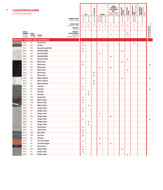| <b>LAGERPROGRAMM</b><br><b>STOCK RANGE</b> |                                                          |                                  |                                                 |                                                                                |                        | <b>HPL</b>   | <b>TRACELESS</b>       | <b>DOORS</b>                       |              | FARB-<br><b>VERBUND-</b><br><b>KOLLEKTION</b><br><b>MFC</b><br>COORDINATED<br><b>SURFACES MFC</b> |             | <b>SPASTYLING</b><br>BOARDS | <b>SPASTYLING</b><br>FLOOR | ARBEITSPLATTE<br>IDEAL<br>Worktops Ideal | <b>NISCHENRÜCK-</b><br>WAND IDEAL<br>SPLASH BACK<br>IDEAL |                                                |
|--------------------------------------------|----------------------------------------------------------|----------------------------------|-------------------------------------------------|--------------------------------------------------------------------------------|------------------------|--------------|------------------------|------------------------------------|--------------|---------------------------------------------------------------------------------------------------|-------------|-----------------------------|----------------------------|------------------------------------------|-----------------------------------------------------------|------------------------------------------------|
|                                            |                                                          |                                  |                                                 | <b>FORMAT IN MM</b><br><b>FORMAT IN MM</b>                                     | 3050 x 1320            | 2440 x 1220  | $3050 \times 1320$     | 2180×915<br>2180×1020<br>2180×1320 | 2600 x 1380  |                                                                                                   | 2800 x 2070 | 3050x1320                   | $1245 \times 200$          | 3650×600<br>3650×900                     | $3650 \times 650$                                         |                                                |
|                                            |                                                          |                                  |                                                 | <b>DICKE IN MM</b><br>THICKNESS IN MM                                          | 0,8                    | 0,8          | 0,8                    | 0,8                                | 0,8          | 19                                                                                                | $^{\rm 8}$  | 7,8                         | 5,4                        | 38                                       | 7,8                                                       |                                                |
|                                            |                                                          |                                  |                                                 | QUALITÄT                                                                       | P                      | P            |                        | $\mathsf S$                        | $\mathsf S$  | $\mathsf S$                                                                                       | $\sf S$     | $\mathsf S$                 | $\sf S$                    | D                                        |                                                           |                                                |
|                                            | <b>DEKOR-</b><br><b>NUMMER</b><br><b>DECOR</b><br>NUMBER | OBER-<br>FLÄCHE<br>TEXTURE DECOR | <b>DEKOR</b>                                    | QUALITY<br><b>MINDEST-</b><br><b>BESTELLMENGE</b><br>MINIMUM<br>ORDER QUANTITY | $\mathbf{1}$           | $\mathbf{1}$ | 1                      | $\mathbf{1}$                       | $\mathbf{1}$ | 20                                                                                                | 14          | $\sqrt{2}$                  | $20*$<br>PAKETE<br>PACKS   | 1                                        | $\mathbf{1}$                                              | <b>MIT SCHUTZFOLIE</b><br>WITH PROTECTIVE FOIL |
|                                            |                                                          |                                  | <b>RESOPAL<sup>®</sup> STONES AND MATERIALS</b> |                                                                                |                        |              |                        |                                    |              |                                                                                                   |             |                             |                            |                                          |                                                           |                                                |
|                                            | 3540                                                     | 90                               | <b>Granic Vein</b>                              |                                                                                | $\bullet$              |              |                        |                                    |              |                                                                                                   |             |                             |                            | ٠                                        |                                                           |                                                |
|                                            | 3547                                                     | 60                               | Scratch                                         |                                                                                | $\bullet$              |              |                        |                                    |              |                                                                                                   |             |                             |                            |                                          |                                                           |                                                |
|                                            | 3561                                                     | <b>RM</b>                        | <b>Essential Light Wall</b>                     |                                                                                | $\bullet$              |              |                        |                                    |              |                                                                                                   |             |                             |                            |                                          |                                                           |                                                |
|                                            | 3562                                                     | <b>RM</b>                        | <b>Essential Wall</b>                           |                                                                                | $\bullet$              |              |                        |                                    |              |                                                                                                   |             | $\bullet$                   |                            |                                          |                                                           |                                                |
|                                            | 3562                                                     | 60                               | <b>Essential Wall</b>                           |                                                                                |                        |              |                        | $\bullet$                          |              |                                                                                                   |             |                             |                            |                                          |                                                           |                                                |
|                                            | 3562                                                     | EM                               | <b>Essential Wall</b>                           |                                                                                |                        |              |                        |                                    |              | $\bullet$                                                                                         |             |                             |                            |                                          |                                                           |                                                |
|                                            | 3562                                                     | <b>FN</b>                        | <b>Essential Wall</b>                           |                                                                                |                        |              |                        |                                    |              |                                                                                                   |             |                             | $\bullet$                  |                                          |                                                           |                                                |
|                                            | 3563                                                     | <b>RM</b>                        | Monocrete                                       |                                                                                | $\bullet$              |              |                        |                                    |              |                                                                                                   |             | ٠                           |                            |                                          |                                                           |                                                |
|                                            | 3563                                                     | CS                               | Monocrete                                       |                                                                                | $\bullet$              |              |                        |                                    |              |                                                                                                   |             |                             |                            |                                          |                                                           | $\bullet$                                      |
|                                            | 3563                                                     | 60                               | Monocrete                                       |                                                                                |                        |              |                        | $\bullet$                          |              | $\bullet$                                                                                         |             |                             |                            |                                          |                                                           |                                                |
|                                            | 3563                                                     | <b>FN</b>                        | Monocrete                                       |                                                                                |                        |              |                        |                                    |              |                                                                                                   |             |                             | $\bullet$                  |                                          |                                                           |                                                |
|                                            | 3563                                                     | TS                               | Monocrete                                       |                                                                                |                        |              | $\bullet$ <sup>1</sup> |                                    |              |                                                                                                   |             |                             |                            |                                          |                                                           |                                                |
|                                            | 3563                                                     | TL                               | Monocrete                                       |                                                                                |                        |              | $\bullet^1$            |                                    |              |                                                                                                   |             |                             |                            |                                          |                                                           |                                                |
|                                            | 3563                                                     | <b>RM</b>                        | Marmo Bianco                                    |                                                                                | $\bullet$              |              |                        |                                    |              |                                                                                                   |             | $\bullet$                   |                            |                                          |                                                           |                                                |
|                                            | 3570                                                     | TS                               | Marmo Bianco                                    |                                                                                |                        |              | $\bullet^1$            |                                    |              |                                                                                                   |             |                             |                            |                                          |                                                           |                                                |
|                                            | 3570                                                     | TL                               | Marmo Bianco                                    |                                                                                |                        |              | $\bullet$ <sup>1</sup> |                                    |              |                                                                                                   |             |                             |                            |                                          |                                                           |                                                |
|                                            | 3572                                                     | <b>RM</b>                        | Samsara                                         |                                                                                | $\bullet$              |              |                        |                                    |              |                                                                                                   |             |                             |                            |                                          |                                                           |                                                |
|                                            | 3572                                                     | <b>CS</b>                        | Samsara                                         |                                                                                | $\bullet$              |              |                        |                                    |              |                                                                                                   |             |                             |                            |                                          |                                                           |                                                |
|                                            | 3572                                                     | 07                               | Samsara                                         |                                                                                |                        | $\bullet$    |                        |                                    |              |                                                                                                   |             |                             |                            |                                          |                                                           |                                                |
|                                            | 3572                                                     | 22                               | Samsara                                         |                                                                                |                        | $\bullet$    |                        |                                    |              |                                                                                                   |             |                             |                            |                                          |                                                           |                                                |
|                                            | 3576                                                     | <b>HW</b>                        | Emperador                                       |                                                                                | $\bullet$              |              |                        |                                    |              |                                                                                                   |             |                             |                            |                                          |                                                           |                                                |
|                                            | 3577<br>3577                                             | <b>RM</b><br>HW                  | <b>Marmo Nero</b><br><b>Marmo Nero</b>          |                                                                                | $\bullet$              |              |                        |                                    |              |                                                                                                   |             |                             |                            |                                          |                                                           |                                                |
|                                            | 3577                                                     | 07                               | <b>Marmo Nero</b>                               |                                                                                | $\bullet$              |              |                        |                                    |              |                                                                                                   |             |                             |                            |                                          |                                                           |                                                |
|                                            | 3580                                                     | <b>RM</b>                        | <b>Aragon Grey</b>                              |                                                                                |                        | $\bullet$    |                        |                                    |              |                                                                                                   |             |                             |                            |                                          |                                                           |                                                |
|                                            | 3580                                                     | AJ                               | <b>Aragon Grey</b>                              |                                                                                | $\bullet$<br>$\bullet$ |              |                        |                                    |              |                                                                                                   |             |                             |                            |                                          |                                                           |                                                |
|                                            | 3580                                                     | 60                               | <b>Aragon Grey</b>                              |                                                                                |                        |              |                        |                                    |              |                                                                                                   |             |                             |                            |                                          |                                                           |                                                |
|                                            | 3580                                                     | EM                               | <b>Aragon Grey</b>                              |                                                                                |                        |              |                        | $\bullet$                          |              |                                                                                                   |             |                             |                            |                                          |                                                           |                                                |
|                                            | 3580                                                     | <b>CS</b>                        | <b>Aragon Grey</b>                              |                                                                                | $\bullet$              |              |                        |                                    |              |                                                                                                   |             |                             |                            |                                          |                                                           | ٠                                              |
|                                            | 3580                                                     | 07                               | <b>Aragon Grey</b>                              |                                                                                |                        | $\bullet$    |                        |                                    |              |                                                                                                   |             |                             |                            |                                          |                                                           |                                                |
|                                            | 3580                                                     | 22                               | <b>Aragon Grey</b>                              |                                                                                |                        | $\bullet$    |                        |                                    |              |                                                                                                   |             |                             |                            |                                          |                                                           |                                                |
|                                            | 4689                                                     | AJ                               | Chain Sand                                      |                                                                                | $\bullet$              |              |                        |                                    |              |                                                                                                   |             |                             |                            |                                          |                                                           |                                                |
|                                            | 4690                                                     | AJ                               | Chain Stone                                     |                                                                                | $\bullet$              |              |                        |                                    |              |                                                                                                   |             |                             |                            |                                          |                                                           |                                                |
|                                            | 4915                                                     | $\mathsf{RM}$                    | <b>Blue Steel</b>                               |                                                                                | $\bullet$              |              |                        |                                    |              |                                                                                                   |             |                             |                            |                                          |                                                           |                                                |
|                                            | 4918                                                     | <b>RM</b>                        | Corroda                                         |                                                                                | $\bullet$              |              |                        |                                    |              |                                                                                                   |             |                             |                            |                                          |                                                           |                                                |
|                                            | 4918                                                     | 60                               | Corroda                                         |                                                                                |                        |              |                        | $\bullet$                          |              |                                                                                                   |             |                             |                            |                                          |                                                           |                                                |
|                                            | 4919                                                     | 90                               | Corroda Copper                                  |                                                                                | $\bullet$              |              |                        |                                    |              |                                                                                                   |             |                             |                            |                                          |                                                           |                                                |
|                                            | 4919                                                     | 60                               | Corroda Copper                                  |                                                                                |                        |              |                        | $\bullet$                          |              | $\bullet$                                                                                         |             |                             |                            |                                          |                                                           |                                                |
|                                            | 4939                                                     | KS                               | Patina Rock                                     |                                                                                | $\bullet$              |              |                        |                                    |              |                                                                                                   |             |                             |                            |                                          |                                                           |                                                |
|                                            | 4943                                                     | EM                               | <b>Empire Slate</b>                             |                                                                                | $\bullet$              |              |                        |                                    |              |                                                                                                   |             | $\bullet$                   |                            |                                          |                                                           |                                                |
|                                            | 4943                                                     | KS                               | <b>Empire Slate</b>                             |                                                                                | $\bullet$              |              |                        |                                    |              |                                                                                                   |             |                             |                            |                                          |                                                           |                                                |
|                                            | 4943                                                     | ${\sf FN}$                       | <b>Empire Slate</b>                             |                                                                                |                        |              |                        |                                    |              |                                                                                                   |             |                             |                            |                                          |                                                           |                                                |
|                                            |                                                          |                                  |                                                 |                                                                                |                        |              |                        |                                    |              |                                                                                                   |             |                             |                            |                                          |                                                           |                                                |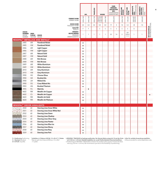|                                             |                                                                 |                                          |                                                             |                                                                     |                        | <b>HPL</b>   | <b>TRACELESS</b> | <b>DOORS</b>                                                                      |              | COORDINATED<br><b>SURFACES MFC</b> | FARB-<br><b>VERBUND-</b><br><b>KOLLEKTION</b><br><b>MFC</b> | <b>SPASTYLING<br/>BOARDS</b> | SPASTYLING<br>FLOOR      | ARBEITSPLATTE<br>IDEAL<br>Worktops Ideal | <b>NISCHENRÜCK-</b><br>Wand Ideal<br>SPLASH BACK<br>IDEAL |                                                |
|---------------------------------------------|-----------------------------------------------------------------|------------------------------------------|-------------------------------------------------------------|---------------------------------------------------------------------|------------------------|--------------|------------------|-----------------------------------------------------------------------------------|--------------|------------------------------------|-------------------------------------------------------------|------------------------------|--------------------------|------------------------------------------|-----------------------------------------------------------|------------------------------------------------|
|                                             |                                                                 |                                          |                                                             | <b>FORMAT IN MM</b><br>FORMAT IN MM                                 | 3050 x 1320            | 2440 x 1220  | 3050×1320        | $\begin{array}{ l}2180 \times 915\\2180 \times 1020\\2180 \times 1320\end{array}$ | 2600 x 1380  |                                    | 2800 x 2070                                                 | 3050x1320                    | $1245 \times 200$        | 3650×600<br>3650×900                     | 3650x650                                                  |                                                |
|                                             |                                                                 |                                          |                                                             | <b>DICKE IN MM</b><br>THICKNESS IN MM                               | 0,8                    | 0,8          | 0,8              | 0,8                                                                               | 0,8          | 19                                 | $\,$ 8 $\,$                                                 | 7,8                          | 5,4                      | 38                                       | 7,8                                                       |                                                |
|                                             |                                                                 |                                          |                                                             | <b>QUALITÄT</b><br>QUALITY                                          | P                      | $\mathsf{P}$ |                  | $\mathsf S$                                                                       | $\mathsf S$  | $\mathsf S$                        | $\mathsf S$                                                 | $\mathsf S$                  | $\sf S$                  | D                                        |                                                           |                                                |
|                                             | <b>DEKOR-</b><br><b>NUMMER</b><br><b>DECOR</b><br><b>NUMBER</b> | OBER-<br><b>FLÄCHE</b><br><b>TEXTURE</b> | <b>DEKOR</b><br><b>DECOR</b>                                | MINDEST-<br><b>BESTELLMENGE</b><br>MINIMUM<br><b>ORDER QUANTITY</b> | 1                      | $\mathbf{1}$ | $\mathbf{1}$     | $\mathbf{1}$                                                                      | $\mathbf{1}$ | 20                                 | 14                                                          | $\sqrt{2}$                   | $20*$<br>PAKETE<br>PACKS | $\mathbf{1}$                             | $\mathbf{1}$                                              | <b>MIT SCHUTZFOLIE</b><br>WITH PROTECTIVE FOIL |
|                                             |                                                                 |                                          | <b>RESOPAL<sup>®</sup> METALLICS AND METALS<sup>4</sup></b> |                                                                     |                        |              |                  |                                                                                   |              |                                    |                                                             |                              |                          |                                          |                                                           |                                                |
|                                             | 2405                                                            | 6M                                       | <b>Powdered Nickel</b>                                      |                                                                     | ٠                      |              |                  |                                                                                   |              |                                    |                                                             |                              |                          |                                          |                                                           |                                                |
|                                             | 2405                                                            | <b>HW</b>                                | <b>Powdered Nickel</b>                                      |                                                                     | $\bullet$              |              |                  |                                                                                   |              |                                    |                                                             |                              |                          |                                          |                                                           |                                                |
|                                             | 2406                                                            | 6M                                       | <b>Light Copper</b>                                         |                                                                     | $\bullet$              |              |                  |                                                                                   |              |                                    |                                                             |                              |                          |                                          |                                                           |                                                |
|                                             | 2406                                                            | HW                                       | <b>Light Copper</b>                                         |                                                                     | $\bullet$              |              |                  |                                                                                   |              |                                    |                                                             |                              |                          |                                          |                                                           |                                                |
|                                             | 2407<br>2407                                                    | 6M<br>HW                                 | Natural Gold<br><b>Natural Gold</b>                         |                                                                     | $\bullet$              |              |                  |                                                                                   |              |                                    |                                                             |                              |                          |                                          |                                                           |                                                |
|                                             | 2408                                                            | 6M                                       | <b>Rich Bronze</b>                                          |                                                                     | $\bullet$              |              |                  |                                                                                   |              |                                    |                                                             |                              |                          |                                          |                                                           |                                                |
|                                             | 2408                                                            | HW                                       | <b>Rich Bronze</b>                                          |                                                                     | $\bullet$<br>$\bullet$ |              |                  |                                                                                   |              |                                    |                                                             |                              |                          |                                          |                                                           |                                                |
|                                             | 2409                                                            | 6M                                       | <b>White Aluminium</b>                                      |                                                                     | $\bullet$              |              |                  |                                                                                   |              |                                    |                                                             |                              |                          |                                          |                                                           |                                                |
|                                             | 2409                                                            | HW                                       | <b>White Aluminium</b>                                      |                                                                     | $\bullet$              |              |                  |                                                                                   |              |                                    |                                                             |                              |                          |                                          |                                                           |                                                |
|                                             | 2410                                                            | 6M                                       | <b>Grey Aluminium</b>                                       |                                                                     | $\bullet$              |              |                  |                                                                                   |              |                                    |                                                             |                              |                          |                                          |                                                           |                                                |
|                                             | 2410                                                            | HW                                       | <b>Grey Aluminium</b>                                       |                                                                     | $\bullet$              |              |                  |                                                                                   |              |                                    |                                                             |                              |                          |                                          |                                                           |                                                |
|                                             | 3900                                                            | HG                                       | <b>Chrome Gloss</b>                                         |                                                                     | $\bullet$              |              |                  |                                                                                   |              |                                    |                                                             |                              |                          |                                          |                                                           |                                                |
|                                             | 3900                                                            | GB                                       | <b>Brushed Alu</b>                                          |                                                                     | $\bullet$              |              |                  |                                                                                   |              |                                    |                                                             |                              |                          |                                          |                                                           |                                                |
|                                             | 3900                                                            | LM                                       | <b>Ribbed Alu</b>                                           |                                                                     | $\bullet$              |              |                  |                                                                                   |              |                                    |                                                             |                              |                          |                                          |                                                           |                                                |
|                                             | 3900                                                            | SQ                                       | <b>Cross Ribbed Alu</b>                                     |                                                                     | ٠                      |              |                  |                                                                                   |              |                                    |                                                             |                              |                          |                                          |                                                           |                                                |
|                                             | 3903                                                            | AN                                       | <b>Brushed Titanium</b>                                     |                                                                     | ٠                      |              |                  |                                                                                   |              |                                    |                                                             |                              |                          |                                          |                                                           |                                                |
|                                             | 3905                                                            | FG                                       | Matt Alu                                                    |                                                                     |                        | $\bullet$    |                  |                                                                                   |              |                                    |                                                             |                              |                          |                                          |                                                           |                                                |
|                                             | 4602                                                            | <b>RM</b>                                | <b>Metallic Art Copper</b>                                  |                                                                     | $\bullet$              |              |                  |                                                                                   |              |                                    |                                                             |                              |                          |                                          |                                                           |                                                |
|                                             | 4602<br>4603                                                    | CS<br><b>RM</b>                          | <b>Metallic Art Copper</b><br><b>Metallic Art Gold</b>      |                                                                     | $\bullet$              |              |                  |                                                                                   |              |                                    |                                                             |                              |                          |                                          |                                                           |                                                |
|                                             | 4604                                                            | <b>RM</b>                                | <b>Metallic Art Platinum</b>                                |                                                                     | $\bullet$<br>$\bullet$ |              |                  |                                                                                   |              |                                    |                                                             |                              |                          |                                          |                                                           |                                                |
|                                             |                                                                 |                                          |                                                             |                                                                     |                        |              |                  |                                                                                   |              |                                    |                                                             |                              |                          |                                          |                                                           |                                                |
| <b>RESOPAL<sup>®</sup> DECOR HIGHLIGHTS</b> |                                                                 |                                          |                                                             |                                                                     |                        |              |                  |                                                                                   |              |                                    |                                                             |                              |                          |                                          |                                                           |                                                |
|                                             | 2550                                                            | 60                                       | <b>Dancing Lines Snow White</b>                             |                                                                     | $\bullet$              |              |                  |                                                                                   |              |                                    |                                                             |                              |                          |                                          |                                                           |                                                |
|                                             | 2551                                                            | 60                                       | Dancing Lines Snow White Red                                |                                                                     | $\bullet$              |              |                  |                                                                                   |              |                                    |                                                             |                              |                          |                                          |                                                           |                                                |
|                                             | 2552                                                            | 60                                       | Dancing Lines Dawn                                          |                                                                     | ٠                      |              |                  |                                                                                   |              |                                    |                                                             |                              |                          |                                          |                                                           |                                                |
|                                             | 2553                                                            | 60                                       | Dancing Lines Shadow                                        |                                                                     | $\bullet$              |              |                  |                                                                                   |              |                                    |                                                             |                              |                          |                                          |                                                           |                                                |
|                                             | 2554                                                            | 60                                       | <b>Dancing Lines Silver Grey</b>                            |                                                                     | $\bullet$              |              |                  |                                                                                   |              |                                    |                                                             |                              |                          |                                          |                                                           |                                                |
|                                             | 2555                                                            | 60                                       | <b>Dancing Lines Pewter</b>                                 |                                                                     | $\bullet$              |              |                  |                                                                                   |              |                                    |                                                             |                              |                          |                                          |                                                           |                                                |
|                                             | 2556<br>2557                                                    | 60<br>60                                 | Dancing Lines Blue Ice<br>Dancing Lines Ebony               |                                                                     | $\bullet$              |              |                  |                                                                                   |              |                                    |                                                             |                              |                          |                                          |                                                           |                                                |
|                                             | 2558                                                            | 60                                       | <b>Dancing Lines Rosy</b>                                   |                                                                     | $\bullet$              |              |                  |                                                                                   |              |                                    |                                                             |                              |                          |                                          |                                                           |                                                |
|                                             | 2559                                                            | 60                                       | Dancing Lines Port                                          |                                                                     | $\bullet$              |              |                  |                                                                                   |              |                                    |                                                             |                              |                          |                                          |                                                           |                                                |
|                                             |                                                                 |                                          |                                                             |                                                                     |                        |              |                  |                                                                                   |              |                                    |                                                             |                              |                          |                                          |                                                           |                                                |

\* **Aufteilbar in 2 Dekore à 80 Stk. ≙ 2 x 20 m<sup>2</sup> ≙ 1 Palette<br>\* May be split into 2 decors @ 80 pcs. ≙ 2 x 20m<sup>2</sup><br>⊥≙ 1 pallet** 

P = Postforming Postforming \* Autteilbar in 2 Dekore à 80 Stk.≙ 2 x 20 m<sup>2</sup> ≙ 1 Palette 1 ) RESOPAL® TRACELESS ist bedingt postformbar. Der kleinste Radius entspricht 10-mal der Dicke 4) Nur für vertikale Anwendung empfoh 1) RESOPAL® TRACELESS ist bedingt postformbar. Der kleinste Radius entspricht 10-mal der Dicke<br>(z. B. O,8 mm = ≥ 8 mm). Deshalb empfehlen wir, vorab Postformbarkeits-Tests durchzuführen.<br>1) Postforming for RESOPAL® TRACEL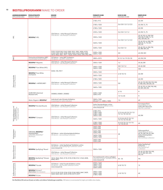#### **<sup>10</sup> BESTELLPROGRAMM** MAKE TO ORDER

| ANWENDUNGSBEREICH PRODUKTGRUPPE<br><b>APPLICATION AREA</b>                           | <b>PRODUCT GROUP</b>                                               | <b>DEKORE</b><br><b>DECORS</b>                                                                                                                                             | <b>FORMATE IN MM</b><br>SIZES IN MM                                                 | <b>DICKE IN MM</b><br>THICKNESS IN MM | OBERFLÄCHE<br><b>TEXTURE</b>                                                     |
|--------------------------------------------------------------------------------------|--------------------------------------------------------------------|----------------------------------------------------------------------------------------------------------------------------------------------------------------------------|-------------------------------------------------------------------------------------|---------------------------------------|----------------------------------------------------------------------------------|
|                                                                                      |                                                                    |                                                                                                                                                                            | 2180 x 915                                                                          |                                       | 60, EM                                                                           |
|                                                                                      |                                                                    |                                                                                                                                                                            | 2180 x 1020                                                                         | 0,6/0,8/1,0/1,2/2,0                   | 60, EM, TL, TS                                                                   |
|                                                                                      |                                                                    |                                                                                                                                                                            | 2180 x 1320                                                                         |                                       | 60, EM                                                                           |
|                                                                                      |                                                                    |                                                                                                                                                                            | 2350 x 1320                                                                         | 0,6/0,8/1,0/1,2                       | 60, EM, TL, TS                                                                   |
| $\vec{\mathbb{H}}$                                                                   | <b>RESOPAL® HPL</b>                                                | 236 Dekore - siehe Resopal Collection<br>236 decors - see Resopal Collection                                                                                               | 3050 x 1320                                                                         |                                       | 20, 60, 90, AJ, EM, EW,<br>FW, HW, PI, RM, TL, TS,<br>WG, WH,WS, XX              |
|                                                                                      |                                                                    |                                                                                                                                                                            | 3650 x 1320                                                                         | 0,6/0,8/1,0/1,2/2,0                   | 20, 60, 90, AJ, EM, FW,<br>HW, KS, TL, TS, WH,<br>WS, XX                         |
|                                                                                      |                                                                    |                                                                                                                                                                            | 5200 x 1320                                                                         | 0,6/0,8/1,0                           | 20, 60, 90, AJ, EM, FW,<br>KS, RM, WH, XX                                        |
|                                                                                      |                                                                    | 0105, 0120, 0140, 0160, 0300, 0531, 0901, 4006, 4103,<br>4104, 4183, 4209, 4228, 4306, 4325, 4339, 4344, 4360,<br>4414, 4452, 4461, 9417, 10622, D354, D435, D90, D92, D96 | 5200 x 1320<br>2600 x 1320                                                          | 0,8                                   | 60, EM, WH                                                                       |
|                                                                                      | Farbverbund-Kollektion MFC<br>Coordinated Surfaces MFC             | 55 Dekore - siehe MFC Kollektion<br>55 decors - see MFC collection                                                                                                         | 2800 x 2070                                                                         | 8/12/16/19/25/30                      | 60, EM, EW                                                                       |
|                                                                                      | RESOPAL <sup>®</sup> Magnetic                                      | 236 Dekore - siehe Resopal Collection<br>236 decors - see Resopal Collection                                                                                               | 3050 x 1220                                                                         | 1,2                                   | 20, 60, EM                                                                       |
|                                                                                      | RESOPAL <sup>®</sup> Pure White (HPL)                              |                                                                                                                                                                            | 3050 x 1320<br>3650 x 1320                                                          | 0,8/1,0/1,2                           | 20, 60, EM                                                                       |
|                                                                                      |                                                                    | D354, 105, 9417                                                                                                                                                            |                                                                                     | 1,0                                   | HW                                                                               |
|                                                                                      | RESOPAL <sup>®</sup> Pure White<br>(Compact)                       |                                                                                                                                                                            | 3050 x 1320                                                                         | 6/8/10/12                             | 60, EM                                                                           |
|                                                                                      |                                                                    |                                                                                                                                                                            | 3650 x 1320                                                                         |                                       |                                                                                  |
| niumprodukt<br>nium Product                                                          |                                                                    |                                                                                                                                                                            | 2180 x 1020                                                                         |                                       | 60, EM                                                                           |
|                                                                                      | RESOPAL <sup>®</sup> +HIPERCARE <sup>®</sup>                       | 236 Dekore - siehe Resopal Collection<br>236 decors - see Resopal Collection                                                                                               | 3050 x 1320                                                                         | 0,8                                   | 20, 60, 90, EM, EW, FW, HW,<br>PI, RM, WG, WH, WS, XX                            |
| &<br>Ene                                                                             |                                                                    |                                                                                                                                                                            | 3650 x 1320                                                                         |                                       | 20, 60, 90, AJ, EM, FW, HW,<br>KS, WH, WS, XX                                    |
|                                                                                      | DURCON® Chemical<br>Resistant SPC                                  | D00800, D00801, D00802                                                                                                                                                     | 3645 x 1520                                                                         | 6/10                                  | F1                                                                               |
|                                                                                      |                                                                    |                                                                                                                                                                            | 3645 x 970                                                                          | 13/16/20                              |                                                                                  |
|                                                                                      | Motiv/Digital in RESOPAL®                                          | Individuell oder Künstler-Kollektion<br>Customized or artist collection                                                                                                    | 3050 x 1320<br>(Druck/Print: 3000 x 1300)                                           | 1,0                                   | 60                                                                               |
|                                                                                      | RESOPAL <sup>®</sup> Bonded Boards                                 | 236 Dekore - siehe Resopal Collection<br>236 decors - see Resopal Collection                                                                                               | Siehe Standardträger online<br>See standard substrate online<br>www.resopal.de      |                                       | Formatspezifisch<br>Depending on size<br>Siehe HPL Übersicht<br>See HPL overview |
| <b>Verbundelemente und<br/>Kompaktplatten</b><br>Bonded boards and<br>compact boards |                                                                    | 236 Dekore - siehe Resopal Collection                                                                                                                                      | 2180 x 915<br>2180 x 1020<br>2180 x 1320<br>3050 x 1320                             | 2/3/4/6/8/10/12/13/<br>15/16/18/20/25 | 60, EM                                                                           |
|                                                                                      | RESOPAL <sup>®</sup> Compact                                       | 236 decors - see Resopal Collection                                                                                                                                        | 3650 x 1320                                                                         | 2/3/4/6/8/9/10/12/<br>13/15/16/18/20  |                                                                                  |
|                                                                                      |                                                                    |                                                                                                                                                                            | 2180 x 1020<br>3050 x 1320                                                          | 4/6/8/10/12/13/15/<br>16/18/20/25     | 60                                                                               |
|                                                                                      |                                                                    |                                                                                                                                                                            | 3650 x 600<br>5200 x 600                                                            |                                       |                                                                                  |
|                                                                                      | ORIGINAL RESOPAL <sup>®</sup>                                      |                                                                                                                                                                            | 3650 x 900                                                                          |                                       | Dekorspezifisch<br>Depending on decor                                            |
| na<br>Roja<br>Roja                                                                   | Arbeitsplatten<br>ORIGINAL RESOPAL®                                | 40 Dekore - siehe Arbeitsplattenkollektion<br>40 decors - see worktops collection                                                                                          | 5200 x 900<br>3650x 1200                                                            | 38                                    | 60, 90, EM, FW, KS, WH<br>Siehe Arbeitsplatten-                                  |
| $\vec{\xi}$                                                                          | Worktops                                                           |                                                                                                                                                                            | 5200 x 1200<br>$3650 \times 640$                                                    |                                       | kollektion<br>See worktops collection                                            |
|                                                                                      |                                                                    |                                                                                                                                                                            | 5200 x 640                                                                          |                                       |                                                                                  |
| ਦੇ ਜ਼                                                                                | RESOPAL SpaStyling® Board                                          | 56 Dekore - siehe SpaStyling® Kollektion online<br>56 decors - see SpaStyling® Collection online<br>www.resopal.de                                                         | 3050 x 1320                                                                         | 7,8                                   | Siehe SpaStyling®<br>Kollection<br>See SpaStyling®<br>Collection                 |
| $\frac{1}{\sqrt{2}}$                                                                 |                                                                    | 236 Dekore - siehe Resopal Collection<br>236 decors - see Resopal Collection                                                                                               |                                                                                     |                                       | 20, 60, 90, EM, FW, HW,<br>KS, PI, RM, WG, WH,<br>WS, XX                         |
| Nassraum-<br>Wet room                                                                | RESOPAL SpaStyling® Shower<br>Elements                             | 3514, 3562, 3563, 4118, 4134, 4148, 4161, 4164, 4228,<br>4943, 9417                                                                                                        | Formatübersicht online verfügbar<br>Overview of sizes available online 45 - 55      |                                       | FN                                                                               |
| $\overline{\mathcal{Q}}$                                                             | RESOPAL <sup>®</sup> Facade                                        | 63 Dekore - siehe Facade Kollektion online<br>63 decors - see Facade collection online<br>www.resopal.de                                                                   | 4320 x 1660<br>3660 x 1510<br>3070 x 1240<br>2600 x 2050                            | 6/8/10/12                             | SI                                                                               |
| 출                                                                                    | <b>RESOPAL<sup>®</sup></b> X-Line F<br>(flammfest, fire-resistant) | 0112, 0118, 0132, 0154, 0150, 0160, 0433, 0441, 0439,<br>  0602, 0603, 0651, 0670, 0744, D319, D377                                                                        | 3050 x 1320<br>$\begin{array}{ l} 3650 \times 1320 \\ 2180 \times 1020 \end{array}$ | 6/8/10/12                             | 60                                                                               |
|                                                                                      | RESOPAL <sup>®</sup> X-Line                                        |                                                                                                                                                                            |                                                                                     |                                       |                                                                                  |

Die Oberfläche EW wird zum Einsatz von hellen und mittleren Farbstellungen empfohlen. EW texture is recommended for bright and middle colour shades.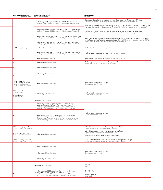| MINDESTBESTELLMENGE<br>MINIMUM ORDER QUANTITY                                                               | STANDARD-LIEFERZEITEN<br>STANDARD LEAD TIME                                                                                                                                                                                                      | <b>BEMERKUNGEN</b><br>REMARKS                                                                                                                                                                     |
|-------------------------------------------------------------------------------------------------------------|--------------------------------------------------------------------------------------------------------------------------------------------------------------------------------------------------------------------------------------------------|---------------------------------------------------------------------------------------------------------------------------------------------------------------------------------------------------|
|                                                                                                             | 10 Arbeitstage bis Menge von 1.000 Stk., >1.000 Stk. Kapazitätscheck                                                                                                                                                                             | Dekore der Doors Kollektion auch in WH erhältlich; andere Ausführungen auf Anfrage<br>Decors of the Doors Collection also available in WH; other versions on request                              |
|                                                                                                             | 10 working days up to 1,000 pieces, >1,000 pieces capacity check                                                                                                                                                                                 | Auch in schwer entflammbarer Ausführung erhältlich (TS, TL: schwer entflammbare Ausführung auf<br>Anfrage) Also available in flame-retardant version (TS, TL: flame-retardant version on request) |
|                                                                                                             | 15 Arbeitstage bis Menge von 1.000 Stk., >1.000 Stk. Kapazitätscheck<br>15 working days up to 1,000 pieces, >1,000 pieces capacity check                                                                                                         | Dekore der Doors Kollektion auch in WH erhältlich; andere Ausführungen auf Anfrage<br>Decors of the Doors Collection also available in WH; other versions on request                              |
|                                                                                                             | 10 Arbeitstage bis Menge von 1.000 Stk., >1.000 Stk. Kapazitätscheck<br>10 working days up to 1,000 pieces, >1,000 pieces capacity check                                                                                                         | Auch in schwer entflammbarer Ausführung erhältlich (TS, TL: schwer entflammbare Ausführung<br>auf Anfrage); andere Ausführungen auf Anfrage Also available in flame-retardant version (TS, TL:    |
|                                                                                                             | 15 Arbeitstage bis Menge von 1.000 Stk., >1.000 Stk. Kapazitätscheck<br>15 working days up to 1,000 pieces, >1,000 pieces capacity check                                                                                                         | flame-retardant version on request); other versions on request                                                                                                                                    |
| Auf Anfrage On request                                                                                      | Auf Anfrage On request                                                                                                                                                                                                                           | Andere Ausführungen auf Anfrage Other versions on request                                                                                                                                         |
|                                                                                                             | 15 Arbeitstage bis Menge von 1.000 Stk., >1.000 Stk. Kapazitätscheck<br>15 working days up to 1,000 pieces, >1,000 pieces capacity check                                                                                                         | Andere Ausführungen auf Anfrage Other versions on request                                                                                                                                         |
| $\overline{4}$                                                                                              | 15 Arbeitstage 15 working days                                                                                                                                                                                                                   | Andere Ausführungen auf Anfrage Other versions on request                                                                                                                                         |
| $\Delta$                                                                                                    | 15 Arbeitstage 15 working days                                                                                                                                                                                                                   | Rückseitig aufgeraut; andere Ausführungen auf Anfrage<br>Sanded on the back; other versions on request                                                                                            |
|                                                                                                             | 10 Arbeitstage 10 working days                                                                                                                                                                                                                   |                                                                                                                                                                                                   |
|                                                                                                             | 15 Arbeitstage 15 working days                                                                                                                                                                                                                   |                                                                                                                                                                                                   |
| 16 für gedruckte Dekore,<br>100 für Resopal® Colours<br>16 for printed decors,<br>100 for Resopal ® Colours | 15 Arbeitstage 15 working days                                                                                                                                                                                                                   | Andere Ausführungen auf Anfrage<br>Other versions on request                                                                                                                                      |
| 16 (eine Palette)<br>16 (one pallet)<br>8 (eine Palette)<br>8 (one pallet)                                  | 20 Arbeitstage 20 working days                                                                                                                                                                                                                   | Andere Ausführungen auf Anfrage<br>Other versions on request                                                                                                                                      |
|                                                                                                             | Auf Anfrage On request                                                                                                                                                                                                                           |                                                                                                                                                                                                   |
|                                                                                                             | 10 Arbeitstage für HPL (Lagerprogramm) + Standardträger;<br>15 Arbeitstage für HPL (Antertigung) + Standardträger<br>10 working days for HPL (stock range) + standard substrate;<br>15 working days for HPL (make to order) + standard substrate |                                                                                                                                                                                                   |
|                                                                                                             | 15 Arbeitstage bis 300 Stk. bis 8 mm bzw. 100 Stk. ab 10 mm;<br>bei größeren Mengen Lieferzeit auf Anfrage<br>15 working days up to 300 pieces up to 8 mm; or 100 pieces from<br>10 mm, respectively; for bigger amounts lead time on r          | Andere Ausführungen auf Anfrage<br>Other versions on request                                                                                                                                      |
| $\overline{1}$                                                                                              |                                                                                                                                                                                                                                                  |                                                                                                                                                                                                   |
| 16 für einseitig gerundet<br>16 for rounded on one side                                                     |                                                                                                                                                                                                                                                  | D-Profil, Radius 3 mm; andere Ausführungen auf Anfrage<br>D-profile, radius 3mm; other versions on request                                                                                        |
| 8 für einseitig gerundet                                                                                    | 10 Arbeitstage 10 working days                                                                                                                                                                                                                   | U-Profil, Radius 6 mm; andere Ausführungen auf Anfrage<br>U-profile, radius 6mm; other versions on request                                                                                        |
| 8 for rounded on one side                                                                                   |                                                                                                                                                                                                                                                  | Gefräste Kante; andere Ausführungen auf Anfrage<br>Milled edge; other versions on request                                                                                                         |
| 48 für zweiseitig gerundet<br>48 for rounded on two sides                                                   |                                                                                                                                                                                                                                                  | D- und U-Profil, Radius 3 und 6 mm; andere Ausführungen auf Anfrage<br>D- and U-profile, radius 3 and 6 mm; other versions on request                                                             |
| $\sqrt{2}$                                                                                                  | 10 Arbeitstage 10 working days                                                                                                                                                                                                                   |                                                                                                                                                                                                   |
| $\Delta$                                                                                                    | 15 Arbeitstage 15 working days                                                                                                                                                                                                                   | Andere Ausführungen auf Anfrage<br>Other versions on request                                                                                                                                      |
|                                                                                                             | 15 Arbeitstage 15 working days                                                                                                                                                                                                                   |                                                                                                                                                                                                   |
|                                                                                                             | Auf Anfrage On request                                                                                                                                                                                                                           | $B-s1, d0$<br>$B-s1, d0$                                                                                                                                                                          |
|                                                                                                             | 15 Arbeitstage bis 300 Stk. bis 8 mm bzw. 100 Stk. ab 10 mm;<br>bei größeren Mengen Lieferzeit auf Anfrage                                                                                                                                       | B1 oder B-s1, d0<br>B1 or B-s1, d0                                                                                                                                                                |
|                                                                                                             | 15 working days up to 300 pieces up to 8 mm; or 100 pieces from<br>10 mm, respectively; for bigger amounts lead time on request                                                                                                                  | B <sub>2</sub> oder D-s2, d0<br>B <sub>2</sub> or D-s2, d0                                                                                                                                        |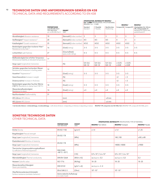#### **12 TECHNISCHE DATEN UND ANFORDERUNGEN GEMÄSS EN 438**

TECHNICAL DATA AND REQUIREMENTS ACCORDING TO EN 438

|                                                                                               |                                                                                           |                                      | RESOPAL® 0.6 - 1.2 MM      | SPEZIFIKATION, MATERIALTYP RESOPAL®<br>0,6-1,2 MM SPECIFICATION, TYPE OF MATERIAL |                            |                            | <b>RESOPAL®</b>            | <b>RESOPAL®</b>                                                                                       |
|-----------------------------------------------------------------------------------------------|-------------------------------------------------------------------------------------------|--------------------------------------|----------------------------|-----------------------------------------------------------------------------------|----------------------------|----------------------------|----------------------------|-------------------------------------------------------------------------------------------------------|
|                                                                                               | <b>PRÜFMETHODE</b><br>nach EN 438. Teil 2<br><b>TEST METHOD</b><br>acc. to EN 438, Part 2 | <b>EINHEIT</b><br><b>UNIT</b>        | Standard<br>Standard       | F-Qualität<br>F-Quality                                                           | Nachformbar<br>Postformina |                            | Compact B2 Compact B1      | Arbeitsplatten 0,6-0,8 mm<br>HPL, Holzspanplatte, E1<br>Worktops 0.6-0.8mm HPL,<br>particle board, E1 |
| Abriebfestigkeit Abrasion resistance                                                          | 10                                                                                        | [Kennzahl] [index number]            | 3                          | 3                                                                                 | 3                          | 3                          | 3                          | 3                                                                                                     |
| Stoßfestigkeit <sup>2)</sup> Impact resistance <sup>2)</sup>                                  | 20                                                                                        | [Kennzahl] [index number]            | 4/3                        | 4/3                                                                               | 4/3                        | $\overline{4}$             | 4                          | 3                                                                                                     |
| Kratzfestigkeit <sup>3)</sup> Scratch resistance <sup>3)</sup>                                | 25                                                                                        | [Kennzahl] [index number]            | 4/3/2                      | 4/3/2                                                                             | 4/3/2                      | 4/3/2                      | 4/3/2                      | 3                                                                                                     |
| Beständigkeit gegenüber trockener Hitze <sup>3)</sup><br>Resistance to dry heat <sup>3)</sup> | 16                                                                                        | [Grad] [rating]                      | $3 - 5$                    | $3 - 5$                                                                           | $3 - 5$                    | $3 - 5$                    | $3 - 5$                    | $3 - 5$                                                                                               |
| Lichtechtheit Light fastness                                                                  | 27                                                                                        | [Graumaßstab]<br>[grey scale rating] | $4 - 5$                    | $4 - 5$                                                                           | $4 - 5$                    | $4 - 5$                    | $4 - 5$                    | $4 - 5$                                                                                               |
| Maßbeständigkeit bei erhöhter Temperatur:<br>Dimensional stability at elevated temperature:   | 17                                                                                        |                                      |                            |                                                                                   |                            |                            |                            |                                                                                                       |
| längs   quer longitudinal   transverse                                                        |                                                                                           | [%]                                  | $0,4 - 0,6$<br>$0,8 - 1,0$ | $0,4 - 0,6$<br>$0,8 - 1,0$                                                        | $0,4 - 0,6$<br>$0,8 - 1,0$ | $\leq 0.20$<br>$\leq 0.40$ | $\leq 0.20$<br>$\leq 0.40$ |                                                                                                       |
| Verhalten gegenüber kochendem Wasser:<br>Resistance to immersion in boiling water:            | 12                                                                                        |                                      |                            |                                                                                   |                            |                            |                            |                                                                                                       |
| Aussehen <sup>3</sup> Appearance <sup>3)</sup>                                                |                                                                                           | [Grad] [rating]                      | $3 - 5$                    | $3 - 5$                                                                           | $3 - 5$                    | $3 - 5$                    | $3 - 5$                    |                                                                                                       |
| Gewichtszunahme Increase in weight                                                            |                                                                                           | [%]                                  |                            |                                                                                   |                            | $<$ 2                      | $<$ 3                      |                                                                                                       |
| Dickenzunahme Increase in thickness                                                           |                                                                                           | [%]                                  |                            |                                                                                   |                            | $<$ 2                      | $<$ 3                      |                                                                                                       |
| Beständigkeit gegenüber feuchter Wärme<br>(100 °C) Resistance to damp heat (100 °C)           | 18                                                                                        | [Grad] [rating]                      | $3 - 5$                    | $3 - 5$                                                                           | $3 - 5$                    | $3 - 5$                    | $3 - 5$                    |                                                                                                       |
| Wasserdampfbeständigkeit<br>Resistance to steam                                               | 14                                                                                        | [Grad] [rating]                      | $\geq 4$                   | $\geq 4$                                                                          | $\geq 4$                   | $\geq 4$                   | $\geq 4$                   |                                                                                                       |
| Nachformbarkeit Postformability                                                               | 31                                                                                        |                                      |                            |                                                                                   |                            |                            |                            |                                                                                                       |
| HPL 0,8 mm HPL 0.8 mm                                                                         |                                                                                           | [mm]                                 |                            |                                                                                   | $\geq 8$ mm                |                            |                            |                                                                                                       |
| HPL 0,6 mm HPL 0.6 mm                                                                         |                                                                                           | [mm]                                 |                            |                                                                                   | $\geq 6$ mm                |                            |                            |                                                                                                       |

1) bei fast allen Dekoren 2) dickenabhängig 3) strukturabhängig 1) with almost all decors 2) depending on thickness 3) depending on texture RESOPAL® HPL entsprechen der ISO 4586, Teil 2. RESOPAL® HPL comply with ISO 4586,

#### **SONSTIGE TECHNISCHE DATEN** OTHER TECHNICAL DATA

|                                                                                |                                                 | <b>SPEZIFIKATION, MATERIALTYP</b> SPECIFICATION, TYPE OF MATERIAL |                                               |                                               |                        |
|--------------------------------------------------------------------------------|-------------------------------------------------|-------------------------------------------------------------------|-----------------------------------------------|-----------------------------------------------|------------------------|
|                                                                                | <b>PRÜFMETHODE</b><br><b>TEST METHOD</b>        | <b>EINHEIT</b><br><b>UNIT</b>                                     | <b>RESOPAL®</b> 0,6-0,8mm                     | <b>RESOPAL®</b> Compact                       | <b>RESOPAL®</b> Facade |
| <b>Dichte Density</b>                                                          | <b>EN ISO 1183</b>                              | [q/cm <sup>3</sup> ]                                              | $\ge 1.4$                                     | $\ge 1.4$                                     | $\ge 1.35$             |
| Biegefestigkeit Flexural strength                                              |                                                 |                                                                   |                                               |                                               |                        |
| längs   quer longitudinal   transverse                                         | <b>EN ISO 178</b>                               | [MPa]                                                             |                                               | 140   100                                     | $\geq 80$   $\geq 80$  |
| Elastizitätsmodul Modulus of elasticity                                        |                                                 |                                                                   |                                               |                                               |                        |
| längs   quer longitudinal   transverse                                         | <b>EN ISO 178</b>                               | [MPa]                                                             |                                               | 14000   10000                                 | $\geq 9000$            |
| Thermischer Längenausdehnungskoeffizient<br>Co-efficient of thermal expansion  | DIN 51045                                       |                                                                   |                                               |                                               |                        |
| längs   quer longitudinal   transverse                                         | +80 $°C$ /-20 $°C$                              | [1/K]                                                             | $0.9 \times 10^{-5}$   1,6 x 10 <sup>-5</sup> | $0.9 \times 10^{-5}$   1,6 x 10 <sup>-5</sup> |                        |
| Wärmeleitfähigkeit Thermal conductivity                                        | <b>DIN EN 12664</b>                             | $[W/(m \times K)]$                                                | $ca$ ./approx. $0,3$                          | ca./approx. 0,3                               | 0,3                    |
| Heizwert Calorific value                                                       | ISO 1716                                        | [MJ/kg]                                                           | $18 - 20$                                     | $18 - 20$                                     | $18 - 20$              |
| Wasserdampfdurchlässigkeit<br>Steam permeability                               | DIN 53122                                       | $\left[\frac{q}{m^2} \times d\right]$                             | $ca./approx.2-4$                              |                                               |                        |
| Oberflächenwiderstand (Antistatik)<br>Surface resistance (antistatic behavior) | EN 61340-2-3                                    | [Ohm]                                                             | $109 - 1011$                                  | $109 - 1011$                                  |                        |
|                                                                                | (keine statische Aufladung)<br>(no static load) |                                                                   |                                               |                                               |                        |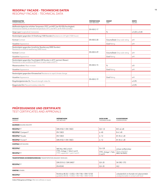#### **<sup>13</sup> RESOPAL® FACADE – TECHNISCHE DATEN**

RESOPAL® FACADE – TECHNICAL DATA

| <b>EIGENSCHAFTEN</b><br><b>CHARACTERISTICS</b>                                                                                                                       | <b>PRÜFMETHODE</b><br><b>TEST METHOD</b> | <b>EINHEIT</b><br><b>UNIT</b> | <b>WERTE</b><br><b>VALUES</b> |
|----------------------------------------------------------------------------------------------------------------------------------------------------------------------|------------------------------------------|-------------------------------|-------------------------------|
| Maßbeständigkeit bei erhöhter Temperatur (70°C und 40°C bei 90-95% Feuchtigkeit)<br>Dimensional stability at elevated temperature (70°C and 40°C at 90-95% humidity) | FN 438 2-17                              |                               |                               |
| längs   quer longitudinal   transverse                                                                                                                               |                                          | %                             | $\leq 0.20$   $\leq 0.40$     |
| Beständigkeit gegenüber UV-Strahlung (1500 Stunden) Resistance to UV light (1500 hours)                                                                              |                                          |                               |                               |
| <b>Kontrast Contrast</b>                                                                                                                                             | EN 438 2-28                              | Graumaßstab Grey scale rating | $\geq 4$                      |
| Aussehen Appearance                                                                                                                                                  |                                          | <b>Grad Rating</b>            | $\geq 4$                      |
| Beständigkeit gegenüber künstlicher Bewitterung (3000 Stunden)<br>Resistance to artificial weathering (3000 hours)                                                   |                                          |                               |                               |
| Kontrast Contrast                                                                                                                                                    | EN 438 2-29                              | Graumaßstab Grey scale rating | $\geq 4$                      |
| Aussehen Appearance                                                                                                                                                  |                                          | <b>Grad Rating</b>            | $\geq 4$                      |
| Beständigkeit gegenüber Feuchtigkeit (48 Stunden in 65°C warmem Wasser)<br>Resistance to wet conditions (48 hours in warm water at 65°C)                             |                                          |                               |                               |
| Massenzunahme Mass increase                                                                                                                                          | FN 438 2-15                              | %                             | $\leq 8$                      |
| Aussehen Appearance                                                                                                                                                  |                                          | <b>Grad Rating</b>            | $\geq 4$                      |
| Beständigkeit gegenüber Klimawechsel Resistance to rapid climate change                                                                                              |                                          |                               |                               |
| Aussehen Appearance                                                                                                                                                  |                                          | <b>Grad Rating</b>            | $\geq 4$                      |
| Biegefestigkeitsindex Ds Flexural strength index Ds                                                                                                                  | FN 438 2-19                              |                               | $\ge 0.95$                    |
| Biegemodul Dm Flexural modulus index Dm                                                                                                                              |                                          |                               | $\ge 0.95$                    |

### **PRÜFZEUGNISSE UND ZERTIFIKATE**

#### TEST CERTIFICATES AND APPROVALS

| <b>PRODUKT</b><br>PRODUCT                                                   | <b>PRÜFMETHODE</b><br><b>TEST METHOD</b>                                                            | <b>DICKE IN MM</b><br>THICKNESS IN MM | <b>KLASSIFIZIERUNG</b><br>CLASSIFICATION                                          |  |
|-----------------------------------------------------------------------------|-----------------------------------------------------------------------------------------------------|---------------------------------------|-----------------------------------------------------------------------------------|--|
| <b>BAUWESEN BUILDING INDUSTRY</b>                                           |                                                                                                     |                                       |                                                                                   |  |
| <b>RESOPAL®</b> F                                                           | DIN 4102-1/EN 13823                                                                                 | $0,8 - 1,0$                           | $B/C-s2$ , d0                                                                     |  |
| RESOPAL <sup>®</sup> Compact F                                              | EN 13823                                                                                            | $6 - 40$                              | $B-s1, d0$                                                                        |  |
| RESOPAL <sup>®</sup> Facade                                                 | EN 13823                                                                                            | $6 - 12$                              | B1/B-s1, d0                                                                       |  |
| <b>RESOPAL® X-Line F</b>                                                    | DIN 4102-1/EN 13823                                                                                 | $6 - 12$                              | $B1/B-s1$ , d $0$                                                                 |  |
| <b>SCHIFFBAU SHIP BUILDING</b>                                              |                                                                                                     |                                       |                                                                                   |  |
| <b>RESOPAL®</b>                                                             | IMO Res. MSC.61(67)                                                                                 | $0,6 - 0,8$                           | schwer entflammbar<br>flame-retardant<br>MED 96/98/EC                             |  |
| <b>RESOPAL®</b> F                                                           | FTPC, Anlage 1, Teile 2 und 5<br>FTPC, appendix 1, part 2 and 5                                     | FTPC, Anlage 1, Teile<br>2 und 5      |                                                                                   |  |
| <b>TRANSPORTWESEN (SCHIENENFAHRZEUGE)</b> TRANSPORTATION (RAILWAY VEHICLES) |                                                                                                     |                                       |                                                                                   |  |
| <b>RESOPAL®</b> F                                                           | DIN 5510-2 / DIN 54837                                                                              | $0,8 - 20$                            | S4/SR2/ST2                                                                        |  |
|                                                                             | EN 45545                                                                                            | $0,8 - 20$                            | HL <sub>2</sub>                                                                   |  |
| <b>SONSTIGE OTHERS</b>                                                      |                                                                                                     |                                       |                                                                                   |  |
| <b>RESOPAL®</b>                                                             | Richtlinie 80.30, 1-3 (EG) + EN 1186 + ENV 13130<br>guideline 80.30, 1-3 (EG) + EN 1186 + ENV 13130 |                                       | unbedenklich im Kontakt mit Lebensmitteln<br>unobjectionable in contact with food |  |

Andere Prüfzeugnisse auf Anfrage. Other test certificates on request.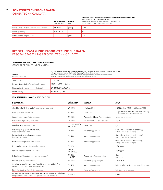#### **14 SONSTIGE TECHNISCHE DATEN**

OTHER TECHNICAL DATA

j.

#### **ARBEITSPLATTEN – RESOPAL® HOCHDRUCK-SCHICHTPRESSSTOFFPLATTE (HPL)**  nach EN 438 / 0,6–0,8 mm Holzspanplatte, E1

|                                                      | <b>PRÜFMETHODE</b><br><b>TEST METHOD</b> | <b>EINHEIT</b><br><b>UNIT</b> | WORKTOPS - RESOPAL <sup>®</sup> HIGH PRESSURE LAMINATES (HPL)<br>acc. to EN 438 / 0.6-0.8 mm particle board, E1 |
|------------------------------------------------------|------------------------------------------|-------------------------------|-----------------------------------------------------------------------------------------------------------------|
| Formaldehyd-Emission Formaldehyde emission           | EN 717-1                                 | ppm                           | $\leq 0.1$                                                                                                      |
| <b>Klebung</b> Bonding                               | <b>DIN EN 204</b>                        |                               | D <sub>3</sub>                                                                                                  |
| Kantenradius <sup>1)</sup> Edge radius <sup>1)</sup> |                                          | 1 <sub>mm</sub>               | 3 <sub>c</sub>                                                                                                  |

#### **RESOPAL SPASTYLING® FLOOR – TECHNISCHE DATEN**

RESOPAL SPASTYLING® FLOOR – TECHNICAL DATA

#### **ALLGEMEINE PRODUKTINFORMATION**

GENERAL PRODUCT INFORMATION

#### **AUFBAU PRODUCT STRUCTURE** Hochabriebfestes Overlay (ACS) mit synthetischem Harz imprägnierter Dekorpapierkern aus mehreren Lagen;<br>mit synthetischem Harz imprägniertes Kraftpapier; Aluminiumdampfsperre<br>Anti-wear protective overlay (ACS) synthetic re Stärke Thickness 5,4mm ± 0,2 Dielen (LängexBreite) Planks (length x width) 1245mmx200mm (±1mm) Biegefestigkeit Flexural strength (MD/CD) EN-438 150MPa/120MPa Dichte Density **EN-438 1,43 g/cm<sup>3</sup>**

#### **KLASSIFIZIERUNG** CLASSIFICATION

| <b>EIGENSCHAFTEN</b><br><b>CHARACTERISTICS</b>                                                                                          | <b>PRÜFMETHODE</b><br><b>TEST METHOD</b> | <b>PROPERTIES</b><br><b>PROPERTIES</b> | <b>WERTE</b><br>VALUES                                                                |
|-----------------------------------------------------------------------------------------------------------------------------------------|------------------------------------------|----------------------------------------|---------------------------------------------------------------------------------------|
| Abriebfestigkeit (Taber Test) Wear resistance (Taber test)                                                                              | FN-13329                                 | Initial point (IP)                     | > 6.000 Zyklen (AC5) > 6,000 cycles(AC5)                                              |
| Nutzungsklasse Class of use                                                                                                             | <b>EN-685</b>                            | Klasse Class                           | 33 (gewerbliche Bereiche mit starker Nutzung)<br>33 (commercial areas of intense use) |
| Wasserbeständigkeit Water resistance                                                                                                    | EN-13553                                 | Wassereinwirkung Water penetration     | wasserfest waterproof                                                                 |
| Dickenquellung Swelling in thickness                                                                                                    | EN-13329                                 | Dickenzunahme Thickness increase       | < 0.3 %                                                                               |
| <b>Brandverhalten Reaction to fire</b>                                                                                                  | EN 13501-1:2007<br>+A 1:2010             | Klasse Class                           | $Ba-s1$                                                                               |
| Beständigkeit gegenüber Hitze 180°C<br>Resistance to heat 180°C                                                                         | EN-438                                   | Aussehen Appearance                    | Grad 5 (keine sichtbare Veränderung)<br>Rating 5 (no visible change)                  |
| Beständigkeit gegenüber Wasserdampf<br>Resistance to steam                                                                              | EN-438                                   | Aussehen Appearance                    | Grad 5 (keine sichtbare Veränderung)<br>Rating 5 (no visible change)                  |
| Fleckenbeständigkeit Stain resistance                                                                                                   | EN-438                                   | Aussehen Appearance                    | Grad 5 (keine sichtbare Veränderung)<br>Rating 5 (no visible change)                  |
| Formaldehyd-Emission Formaldehyde emission                                                                                              | EN-120                                   |                                        | $< 0.01$ ppm                                                                          |
| Pentachlorophenolgehalt PCP content                                                                                                     | CEN/TR<br>14283:2003                     |                                        | $< 0.01$ ppm                                                                          |
| Lichtechtheit (Xenontest) Lightfastness (xenotest)                                                                                      | <b>EN-438</b><br><b>ISO 4892</b>         | Graumaßstab Greyscale rating           | Grad $4-5$<br>Rating 4-5                                                              |
| Stoßfestigkeit Impact resistance                                                                                                        | EN-13329                                 | Federkraft Spring strength             | > 50 N (IC4)                                                                          |
| Verhalten bei der Simulation des Verschiebens eines Möbelfußes<br>Behavior on simulation of shifting a case leg                         | EN-425                                   | Aussehen Appearance                    | keine sichtbare Veränderung no visible change                                         |
| Stuhlrollenbeständigkeit Caster resistance                                                                                              | EN-425                                   | Aussehen Appearance                    | kein Schaden no damage                                                                |
| Entstehende elektrostatische Körperspannung (mit normiertem Schuhwerk)<br>Body generated electrostatic voltage (with standard footwear) | EN-1815                                  |                                        | $< 2$ KV                                                                              |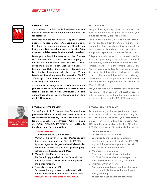

#### **RESOPAL® APP**

Sie möchten schnell und einfach weitere Informationen zu unseren Dekoren abrufen oder bequem Muster bestellen?

Dann laden Sie die neue RESOPAL App auf Ihr Smartphone, verfügbar im Apple App Store und Google Play Store. Ihr Vorteil: Sie können direkt Bilder von Platten- und Detailansichten sowie technische Daten einsehen und das passende Muster direkt bestellen.

Diese praktischen Informationen zu den Dekoren sind bequem durch einen QR-Code zugänglich, den Sie auf der Rückseite jedes RESOPAL Musters sowie im Echtmuster-Buch Look Book finden. Sie können jedes Dekor direkt aus der Infoansicht zur Favoritenliste hinzufügen oder bestellen. Weitere Details zur Bestellung siehe Musterservice. Die RE-SOPAL App können Sie mit Ihrem Benutzerkonto von www.resopal.de verbinden.

Sie sind noch unsicher, welches Muster Sie für Ihr Projekt bevorzugen? Dann nutzen Sie unseren Konfigurator, der Sie bei der Auswahl unterstützt. Den Konfigurator finden Sie auf unserer Website und im Menü der RESOPAL App.

ALBANO CARNEIRO **Sample Service**

#### **RESOPAL MUSTERSERVICE**

Sie benötigen für Ihr Projekt und Ihren Entscheidungsprozess ein Echtmuster vorab? Wir bieten Ihnen unseren Musterlieferservice an, selbstverständlich kostenlos und versandkostenfrei. Unsere HPL Muster sind in den Größen DIN A5 für RESOPAL Colours und DIN A4 für alle anderen Dekore erhältlich.

#### **SO FUNKTIONIERT ES:**

- 1. Sie bestellen die RESOPAL Muster
- Wählen Sie bis zu 10 verschiedene Muster bequem über unsere Homepage oder über die RESOPAL App aus. Legen Sie die gewünschten Dekore in den Warenkorb. Sie erhalten eine Auftragsbestätigung zu Ihrer Musterbestellung per E-Mail.
- 2. Wir stellen Ihre Muster zusammen Ihre Bestellung geht direkt an das Resopal Kundencenter. Ihre Auswahl wird zusammengestellt und sicher verpackt.
- 3. Versand innerhalb von 24h

Der Versand erfolgt kostenlos und unverbindlich per Post innerhalb von 24h an Ihre Lieferanschrift. **WIR WÜNSCHEN IHNEN VIEL SPASS BEI DER AUSWAHL!**

#### **RESOPAL® APP**

Are you looking for quick and easy access to more information on our patterns, or would you like to conveniently order samples?

Then try the new RESOPAL app on your smartphone, available from the Apple App Store or Google Play Store. You benefit by being able to view images of boards, close-ups of patterns, and product specs, and directly order samples.

This practical information on our patterns can be accessed by scanning a QR code which you will conveniently find on the back of every RESOPAL sample as well as in the sample Look Book. You can save any pattern to your list of favourites from the information window, or directly order it. For more information on ordering, please refer to our sample service. You can also link the RESOPAL app with your user account at www.resopal.de.

Are you not sure which pattern you like best for your project? Then use our configuration tool to help you decide. The configuration tool is available on the website and in the RESOPAL app menu.

#### **RESOPAL SAMPLE SERVICE**

Do you need a genuine sample for your project in advance, to help in the decision-making pro cess? We are pleased to offer you a free sample delivery service, including free shipping. Our HPL samples are available in the sizes DIN A5 for RESOPAL Colours and DIN A4 for all other decors.

 **THIS IS HOW IT WORKS:**

- 1. You order RESOPAL samples
- Conveniently choose up to 10 different samples from our website or via the RESOPAL app. Add the patterns to your cart. You will then receive a confirmation email.
- 2. We prepare your samples Your order is directly forwarded to the RESOPAL Customer Center, where your samples are collected and securely packaged.
- 3. Shipment within 24 hours Your shipment will reach you free of charge by post within 24 hours, with no obligation to buy anything.

**WE HOPE YOU ENJOY SELECTING YOUR SAMPLES!**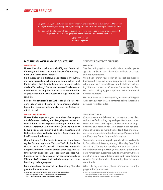Es geht darum, alles dafür zu tun, damit unsere Kunden die Ware in der richtigen Menge, im richtigen Zustand, am richtigen Ort, zur richtigen Zeit und zu den richtigen Kosten erhalten.

It is our ambition to ensure that our customers receive the goods in the right quantity, in the right condition, in the right place, at the right time and for the right cost.

> UDO WALTHER **Head of Logistics**



#### **DIENSTLEISTUNGEN RUND UM DEN VERSAND**

#### **VERPACKUNG**

Unsere Produkte sind standardmäßig auf Palette mit Kartonage und Folie sowie mit Kunststoff-Umreifungsband und Kantenwinkel verpackt.

Sie bevorzugen die Lieferung von Resopal Produkten mit einer speziellen Schrumpffolie sowie Ecken- und Kantenschutz<sup>1</sup> bei Arbeitsplatten oder in einer individuellen Verpackung? Gerne macht unser Kundencenter Ihnen hierfür ein Angebot. Planen Sie bitte für Sonderverpackungen bis zu zwei zusätzliche Tage für den Versand ein.

Soll der Weiterversand per Luft- oder Seefracht erfolgen? Fragen Sie in diesem Fall nach unseren hitzebehandelten Containerpaletten, die von vier Seiten zugänglich sind.

#### **VERSAND UND ABHOLUNG**

Unsere Lieferungen erfolgen nach einem Routenplan mit definiertem Ladetag und festgelegten Laufzeiten. Direktfahrten sowie Express-Lieferungen können wir gegen Aufpreis für Sie organisieren. Übrigens: Ab einer Ladung von sechs Tonnen sind flexible Ladetage und Lieferzeiten ohne Aufpreis möglich. Kontaktieren Sie hierfür unser Kundencenter.

Gerne können Sie Ihre bestellte Ware auch von Montag bis Donnerstag in der Zeit von 7:00 Uhr bis 16:00 Uhr bei uns in Groß-Umstadt abholen. Die Bereitstellungszeit für Inlandskunden beträgt einen Tag, für Auslandskunden zwei Tage. Bitte beachten Sie, dass Abholungen nur mit Fahrzeugen mit seitlicher Beladung (Planen-LKW) zulässig sind. Kofferfahrzeuge mit Heckbeladung sind ungeeignet.

Bitte informieren Sie uns bei der Bestellung über die gewünschte Versandart.

1) Schrumpffolien sind nur für folgende Produkte möglich: Arbeitsplatten, Resopal SpaStyling® Boards, Kompaktplatten, Verbundelemente; Ecken- und Kantenschutz nur bei Arbeitsplatten möglich

#### **SERVICES RELATED TO SHIPPING**

#### **PACKAGING**

Standard shipping for our products is on a pallet, packaged in cardboard and plastic film, with plastic straps and edge protectors.

Would you prefer your order of Resopal products to be shipped in special shrink wrapping with corner and edge protectors<sup>1</sup> for worktops, or in individual packaging? Please contact our Customer Center for an offer. For special packaging, please plan up to two additional days for shipment.

Will your order be transshipped by air or ocean freight? Ask about our heat-treated container pallets that can be accessed from four sides.

#### **SHIPPING AND PICKUP**

Our shipments are delivered according to a route plan, with a specified loading day and specified transit times. Direct deliveries and express deliveries can be organized for an additional fee. And please note: for shipments of six tons or more, flexible load days and delivery times are possible without surcharge. Please contact our Customer Center for more information.

You are also welcome to pick up orders from us directly in Gross-Umstadt Monday through Thursday from 7:00 am – 4 pm. We require one day's notice from customers in Germany to provision your order for pickup, two days' notice from customers outside of Germany. Please note that orders may only be picked up by side-loading vehicles (tarpaulin trucks). Rear-loading box trucks are not suitable.

When placing your order, please inform us of the shipping method you require.

<sup>1)</sup> Shrink wraps are only possible for the following products: worktops, Resopal SpaStyling® Boards, compact boards, bonded boards; corner/edge protectors are only possible for worktops.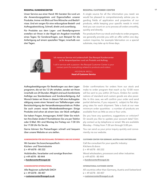Unser Service aus einer Hand: Wir beraten Sie rund um die Anwendungsgebiete und Eigenschaften unserer Produkte. Immer mit Blick auf Ihre Wünsche und Bedürfnisse. Und wir sorgen für eine reibungslose Bestell- und Auftragsabwicklung. Schnell, direkt und zuverlässig.

Für Produkte aus dem Lager- und Bestellprogramm erstellen wir Ihnen in der Regel ein Angebot innerhalb eines Tages; für Sonderanfragen, zum Beispiel für die Anfertigung auf einem speziellen Träger, innerhalb von drei Tagen.

#### **RESOPAL KUNDENCENTER 17 RESOPAL CUSTOMER CENTER**

A single source for all the information you need: we would be pleased to comprehensively advise you regarding fields of application and properties of our products, while keeping your specific needs in mind. And you can count on us to process all orders smoothly, quickly and directly.

For products from our stock and make to order program, we generally provide you with an offer within one day; custom inquiries, for example fabrication on a special substrate, may take up to three days.



Ich nenne es Service mit Leidenschaft: Das Resopal Kundencenter ist Ihr Ansprechpartner rund um Produkt und Auftrag.

I call it service with a passion: the Resopal Customer Center is your contact point for everything related to products and orders.

> HEIDRUN MOLL **Head of Customer Service**

Auftragsbestätigungen für Bestellungen aus dem Lagerprogramm, die wir bis 12 Uhr erhalten, senden wir Ihnen innerhalb von 24 Stunden. Möglich sind auch kombinierte Aufträge aus Standardware und Sonderanfertigung. Auf Wunsch bieten wir Ihnen in diesem Fall eine Auftragsbestätigung sowie einen Versand von Teillieferungen unter Berücksichtigung der Versandkostenpauschale an. Prüfen Sie auch unsere neuen Mindestbestellmengen: Einige Produkte sind schon ab einem bzw. vier Stück verfügbar.

Sie haben Fragen, Anregungen, Kritik? Oder Sie möchten Ihre Daten ändern? Kontaktieren Sie uns per Telefon oder E-Mail. Wir sind Montag bis Freitag von 7:30 Uhr bis 17:00 Uhr für Sie da.

Gerne können Sie Preisanfragen schnell und bequem über unsere Website an uns stellen.

#### **KUNDENCENTER FÜR DEUTSCHLAND, ÖSTERREICH UND DIE SCHWEIZ**

Wir beraten Sie branchenspezifisch: Küchen- und Türenindustrie  $\Box$  + 49 6078 - 80 222 Holzhändler, Verarbeiter und sonstige Branchen +49 6078 – 80 444 **kundencenter@resopal.de**

#### **KUNDENCENTER INTERNATIONAL**

Alle Regionen außerhalb DACH  $\Box$  + 49 6078 - 80 407 **customercenter@resopal.co.uk**

Order confirmations for orders from our stock and make to order program that reach us by 12:00 noon will be sent to you within 24 hours. Orders for combinations of standard and custom goods are also possible. In this case, we will confirm your order and send partial deliveries, if you request it, subject to flat shipping rates for each shipment. Take a look at our new minimum order quantities – a number of products are available from as little as one or four units.

Do you have any questions, suggestions or criticism? Or would you like to update your account data? Simply contact us by telephone or email. We are available Monday – Friday from 7:30 am through 5:00 pm.

You can send us your price inquiry quickly and conveniently via our website.

#### **CUSTOMER CENTER FOR GERMANY, AUSTRIA AND SWITZERLAND**

Call the consultant for your specific industry: Kitchens & doors  $\Box$  + 49 6078 - 80 222 Wood wholesalers, processors and other industries  $\Box$  +49 6078 - 80 444 **kundencenter@resopal.de**

#### **INTERNATIONAL CUSTOMER CENTER**

All countries other than Germany, Austria and Switzerland  $\Box$  + 49 6078 - 80 407 **customercenter@resopal.co.uk**